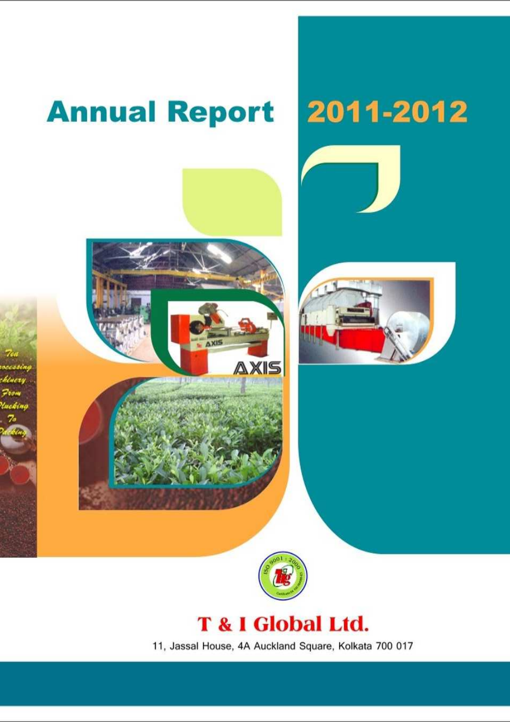

11, Jassal House, 4A Auckland Square, Kolkata 700 017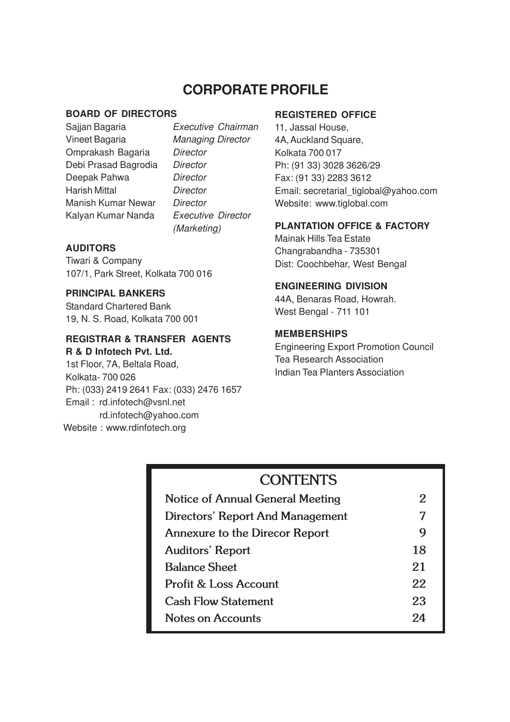# **CORPORATE PROFILE**

#### **BOARD OF DIRECTORS**

Vineet Bagaria Managing Director Omprakash Bagaria Director Debi Prasad Bagrodia Director Deepak Pahwa Director Harish Mittal **Director** Manish Kumar Newar Director Kalyan Kumar Nanda Executive Director

Sajjan Bagaria **Executive Chairman** (Marketing)

# **AUDITORS**

Tiwari & Company 107/1, Park Street, Kolkata 700 016

# **PRINCIPAL BANKERS**

Standard Chartered Bank 19, N. S. Road, Kolkata 700 001

# **REGISTRAR & TRANSFER AGENTS**

**R & D Infotech Pvt. Ltd.** 1st Floor, 7A, Beltala Road, Kolkata- 700 026 Ph: (033) 2419 2641 Fax: (033) 2476 1657 Email : rd.infotech@vsnl.net rd.infotech@yahoo.com Website : www.rdinfotech.org

### **REGISTERED OFFICE**

11, Jassal House, 4A, Auckland Square, Kolkata 700 017 Ph: (91 33) 3028 3626/29 Fax: (91 33) 2283 3612 Email: secretarial\_tiglobal@yahoo.com Website: www.tiglobal.com

# **PLANTATION OFFICE & FACTORY**

Mainak Hills Tea Estate Changrabandha - 735301 Dist: Coochbehar, West Bengal

# **ENGINEERING DIVISION**

44A, Benaras Road, Howrah. West Bengal - 711 101

### **MEMBERSHIPS**

Engineering Export Promotion Council Tea Research Association Indian Tea Planters Association

# **CONTENTS**

| Notice of Annual General Meeting      | 2  |
|---------------------------------------|----|
| Directors' Report And Management      | 7  |
| <b>Annexure to the Direcor Report</b> | 9  |
| <b>Auditors' Report</b>               | 18 |
| <b>Balance Sheet</b>                  | 21 |
| Profit & Loss Account                 | 22 |
| <b>Cash Flow Statement</b>            | 23 |
| Notes on Accounts                     | 94 |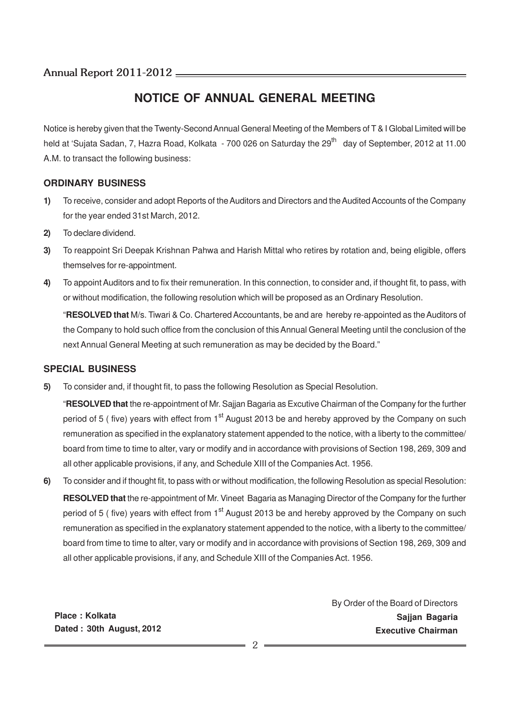# **NOTICE OF ANNUAL GENERAL MEETING**

Notice is hereby given that the Twenty-Second Annual General Meeting of the Members of T & I Global Limited will be held at 'Sujata Sadan, 7, Hazra Road, Kolkata - 700 026 on Saturday the 29<sup>th</sup> day of September, 2012 at 11.00 A.M. to transact the following business:

### **ORDINARY BUSINESS**

- **1)** To receive, consider and adopt Reports of the Auditors and Directors and the Audited Accounts of the Company for the year ended 31st March, 2012.
- **2)** To declare dividend.
- **3)** To reappoint Sri Deepak Krishnan Pahwa and Harish Mittal who retires by rotation and, being eligible, offers themselves for re-appointment.
- **4)** To appoint Auditors and to fix their remuneration. In this connection, to consider and, if thought fit, to pass, with or without modification, the following resolution which will be proposed as an Ordinary Resolution.

"**RESOLVED that** M/s. Tiwari & Co. Chartered Accountants, be and are hereby re-appointed as the Auditors of the Company to hold such office from the conclusion of this Annual General Meeting until the conclusion of the next Annual General Meeting at such remuneration as may be decided by the Board."

### **SPECIAL BUSINESS**

**5)** To consider and, if thought fit, to pass the following Resolution as Special Resolution.

"**RESOLVED that** the re-appointment of Mr. Sajjan Bagaria as Excutive Chairman of the Company for the further period of 5 ( five) years with effect from  $1<sup>st</sup>$  August 2013 be and hereby approved by the Company on such remuneration as specified in the explanatory statement appended to the notice, with a liberty to the committee/ board from time to time to alter, vary or modify and in accordance with provisions of Section 198, 269, 309 and all other applicable provisions, if any, and Schedule XIII of the Companies Act. 1956.

**6)** To consider and if thought fit, to pass with or without modification, the following Resolution as special Resolution: **RESOLVED that** the re-appointment of Mr. Vineet Bagaria as Managing Director of the Company for the further period of 5 ( five) years with effect from  $1<sup>st</sup>$  August 2013 be and hereby approved by the Company on such remuneration as specified in the explanatory statement appended to the notice, with a liberty to the committee/ board from time to time to alter, vary or modify and in accordance with provisions of Section 198, 269, 309 and all other applicable provisions, if any, and Schedule XIII of the Companies Act. 1956.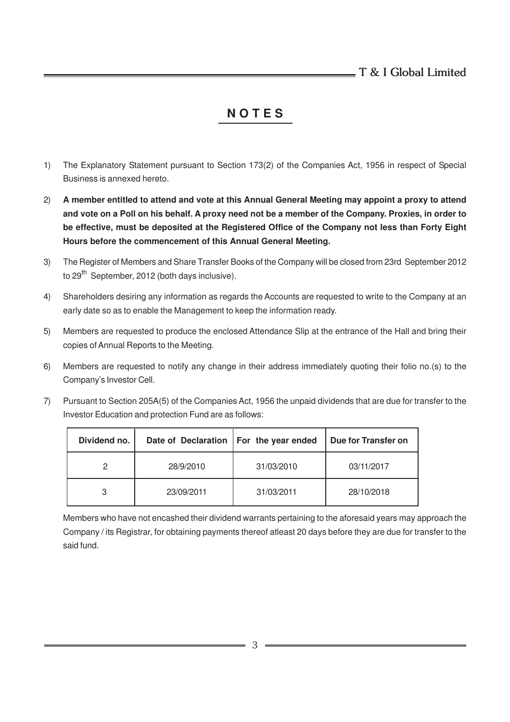# **N O T E S**

- 1) The Explanatory Statement pursuant to Section 173(2) of the Companies Act, 1956 in respect of Special Business is annexed hereto.
- 2) **A member entitled to attend and vote at this Annual General Meeting may appoint a proxy to attend and vote on a Poll on his behalf. A proxy need not be a member of the Company. Proxies, in order to be effective, must be deposited at the Registered Office of the Company not less than Forty Eight Hours before the commencement of this Annual General Meeting.**
- 3) The Register of Members and Share Transfer Books of the Company will be closed from 23rd September 2012 to  $29^{th}$  September, 2012 (both days inclusive).
- 4) Shareholders desiring any information as regards the Accounts are requested to write to the Company at an early date so as to enable the Management to keep the information ready.
- 5) Members are requested to produce the enclosed Attendance Slip at the entrance of the Hall and bring their copies of Annual Reports to the Meeting.
- 6) Members are requested to notify any change in their address immediately quoting their folio no.(s) to the Company's Investor Cell.
- 7) Pursuant to Section 205A(5) of the Companies Act, 1956 the unpaid dividends that are due for transfer to the Investor Education and protection Fund are as follows:

| Dividend no. | Date of Declaration   For the year ended |            | Due for Transfer on |
|--------------|------------------------------------------|------------|---------------------|
| 2            | 28/9/2010                                | 31/03/2010 | 03/11/2017          |
| 3            | 23/09/2011                               | 31/03/2011 | 28/10/2018          |

Members who have not encashed their dividend warrants pertaining to the aforesaid years may approach the Company / its Registrar, for obtaining payments thereof atleast 20 days before they are due for transfer to the said fund.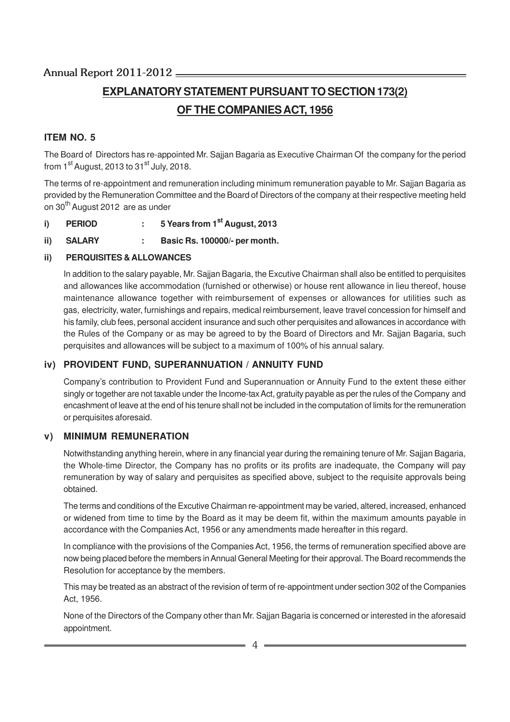# **EXPLANATORY STATEMENT PURSUANT TO SECTION 173(2) OF THE COMPANIES ACT, 1956**

# **ITEM NO. 5**

The Board of Directors has re-appointed Mr. Sajjan Bagaria as Executive Chairman Of the company for the period from  $1<sup>st</sup>$  August, 2013 to 31 $<sup>st</sup>$  July, 2018.</sup>

The terms of re-appointment and remuneration including minimum remuneration payable to Mr. Sajjan Bagaria as provided by the Remuneration Committee and the Board of Directors of the company at their respective meeting held on 30<sup>th</sup> August 2012 are as under

- **i) PERIOD : 5 Years from 1st August, 2013**
- **ii) SALARY : Basic Rs. 100000/- per month.**

### **ii) PERQUISITES & ALLOWANCES**

In addition to the salary payable, Mr. Sajjan Bagaria, the Excutive Chairman shall also be entitled to perquisites and allowances like accommodation (furnished or otherwise) or house rent allowance in lieu thereof, house maintenance allowance together with reimbursement of expenses or allowances for utilities such as gas, electricity, water, furnishings and repairs, medical reimbursement, leave travel concession for himself and his family, club fees, personal accident insurance and such other perquisites and allowances in accordance with the Rules of the Company or as may be agreed to by the Board of Directors and Mr. Sajjan Bagaria, such perquisites and allowances will be subject to a maximum of 100% of his annual salary.

### **iv) PROVIDENT FUND, SUPERANNUATION / ANNUITY FUND**

Company's contribution to Provident Fund and Superannuation or Annuity Fund to the extent these either singly or together are not taxable under the Income-tax Act, gratuity payable as per the rules of the Company and encashment of leave at the end of his tenure shall not be included in the computation of limits for the remuneration or perquisites aforesaid.

### **v) MINIMUM REMUNERATION**

Notwithstanding anything herein, where in any financial year during the remaining tenure of Mr. Sajjan Bagaria, the Whole-time Director, the Company has no profits or its profits are inadequate, the Company will pay remuneration by way of salary and perquisites as specified above, subject to the requisite approvals being obtained.

The terms and conditions of the Excutive Chairman re-appointment may be varied, altered, increased, enhanced or widened from time to time by the Board as it may be deem fit, within the maximum amounts payable in accordance with the Companies Act, 1956 or any amendments made hereafter in this regard.

In compliance with the provisions of the Companies Act, 1956, the terms of remuneration specified above are now being placed before the members in Annual General Meeting for their approval. The Board recommends the Resolution for acceptance by the members.

This may be treated as an abstract of the revision of term of re-appointment under section 302 of the Companies Act, 1956.

None of the Directors of the Company other than Mr. Sajjan Bagaria is concerned or interested in the aforesaid appointment.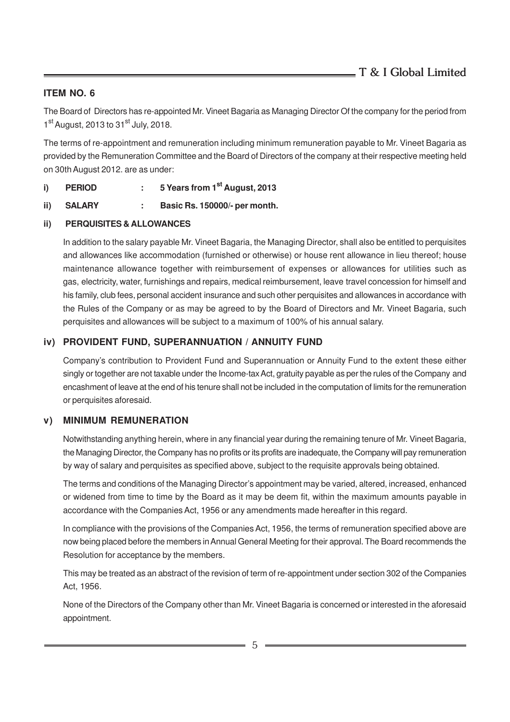### **ITEM NO. 6**

The Board of Directors has re-appointed Mr. Vineet Bagaria as Managing Director Of the company for the period from 1<sup>st</sup> August, 2013 to 31<sup>st</sup> July, 2018.

The terms of re-appointment and remuneration including minimum remuneration payable to Mr. Vineet Bagaria as provided by the Remuneration Committee and the Board of Directors of the company at their respective meeting held on 30th August 2012. are as under:

- **i) PERIOD : 5 Years from 1st August, 2013**
- **ii) SALARY : Basic Rs. 150000/- per month.**
- **ii) PERQUISITES & ALLOWANCES**

In addition to the salary payable Mr. Vineet Bagaria, the Managing Director, shall also be entitled to perquisites and allowances like accommodation (furnished or otherwise) or house rent allowance in lieu thereof; house maintenance allowance together with reimbursement of expenses or allowances for utilities such as gas, electricity, water, furnishings and repairs, medical reimbursement, leave travel concession for himself and his family, club fees, personal accident insurance and such other perquisites and allowances in accordance with the Rules of the Company or as may be agreed to by the Board of Directors and Mr. Vineet Bagaria, such perquisites and allowances will be subject to a maximum of 100% of his annual salary.

### **iv) PROVIDENT FUND, SUPERANNUATION / ANNUITY FUND**

Company's contribution to Provident Fund and Superannuation or Annuity Fund to the extent these either singly or together are not taxable under the Income-tax Act, gratuity payable as per the rules of the Company and encashment of leave at the end of his tenure shall not be included in the computation of limits for the remuneration or perquisites aforesaid.

### **v) MINIMUM REMUNERATION**

Notwithstanding anything herein, where in any financial year during the remaining tenure of Mr. Vineet Bagaria, the Managing Director, the Company has no profits or its profits are inadequate, the Company will pay remuneration by way of salary and perquisites as specified above, subject to the requisite approvals being obtained.

The terms and conditions of the Managing Director's appointment may be varied, altered, increased, enhanced or widened from time to time by the Board as it may be deem fit, within the maximum amounts payable in accordance with the Companies Act, 1956 or any amendments made hereafter in this regard.

In compliance with the provisions of the Companies Act, 1956, the terms of remuneration specified above are now being placed before the members in Annual General Meeting for their approval. The Board recommends the Resolution for acceptance by the members.

This may be treated as an abstract of the revision of term of re-appointment under section 302 of the Companies Act, 1956.

None of the Directors of the Company other than Mr. Vineet Bagaria is concerned or interested in the aforesaid appointment.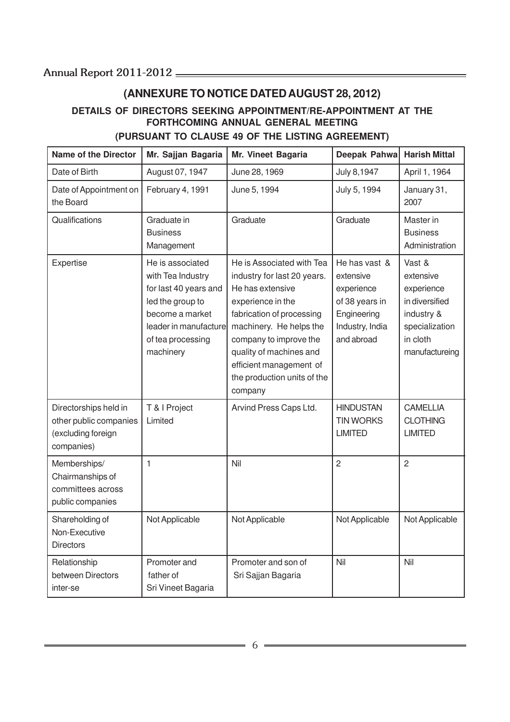# **(ANNEXURE TO NOTICE DATED AUGUST 28, 2012)**

# **DETAILS OF DIRECTORS SEEKING APPOINTMENT/RE-APPOINTMENT AT THE FORTHCOMING ANNUAL GENERAL MEETING (PURSUANT TO CLAUSE 49 OF THE LISTING AGREEMENT)**

| <b>Name of the Director</b>                                                         | Mr. Sajjan Bagaria                                                                                                                                               | Mr. Vineet Bagaria                                                                                                                                                                                                                                                                  | Deepak Pahwa                                                                                               | <b>Harish Mittal</b>                                                                                              |
|-------------------------------------------------------------------------------------|------------------------------------------------------------------------------------------------------------------------------------------------------------------|-------------------------------------------------------------------------------------------------------------------------------------------------------------------------------------------------------------------------------------------------------------------------------------|------------------------------------------------------------------------------------------------------------|-------------------------------------------------------------------------------------------------------------------|
| Date of Birth                                                                       | August 07, 1947                                                                                                                                                  | June 28, 1969                                                                                                                                                                                                                                                                       | July 8,1947                                                                                                | April 1, 1964                                                                                                     |
| Date of Appointment on<br>the Board                                                 | February 4, 1991                                                                                                                                                 | June 5, 1994                                                                                                                                                                                                                                                                        | July 5, 1994                                                                                               | January 31,<br>2007                                                                                               |
| Qualifications                                                                      | Graduate in<br><b>Business</b><br>Management                                                                                                                     | Graduate                                                                                                                                                                                                                                                                            | Graduate                                                                                                   | Master in<br><b>Business</b><br>Administration                                                                    |
| Expertise                                                                           | He is associated<br>with Tea Industry<br>for last 40 years and<br>led the group to<br>become a market<br>leader in manufacture<br>of tea processing<br>machinery | He is Associated with Tea<br>industry for last 20 years.<br>He has extensive<br>experience in the<br>fabrication of processing<br>machinery. He helps the<br>company to improve the<br>quality of machines and<br>efficient management of<br>the production units of the<br>company | He has vast &<br>extensive<br>experience<br>of 38 years in<br>Engineering<br>Industry, India<br>and abroad | Vast &<br>extensive<br>experience<br>in diversified<br>industry &<br>specialization<br>in cloth<br>manufactureing |
| Directorships held in<br>other public companies<br>(excluding foreign<br>companies) | T & I Project<br>Limited                                                                                                                                         | Arvind Press Caps Ltd.                                                                                                                                                                                                                                                              | <b>HINDUSTAN</b><br><b>TIN WORKS</b><br><b>LIMITED</b>                                                     | <b>CAMELLIA</b><br><b>CLOTHING</b><br><b>LIMITED</b>                                                              |
| Memberships/<br>Chairmanships of<br>committees across<br>public companies           | $\mathbf{1}$                                                                                                                                                     | Nil                                                                                                                                                                                                                                                                                 | $\overline{2}$                                                                                             | $\overline{2}$                                                                                                    |
| Shareholding of<br>Non-Executive<br><b>Directors</b>                                | Not Applicable                                                                                                                                                   | Not Applicable                                                                                                                                                                                                                                                                      | Not Applicable                                                                                             | Not Applicable                                                                                                    |
| Relationship<br>between Directors<br>inter-se                                       | Promoter and<br>father of<br>Sri Vineet Bagaria                                                                                                                  | Promoter and son of<br>Sri Sajjan Bagaria                                                                                                                                                                                                                                           | Nil                                                                                                        | Nil                                                                                                               |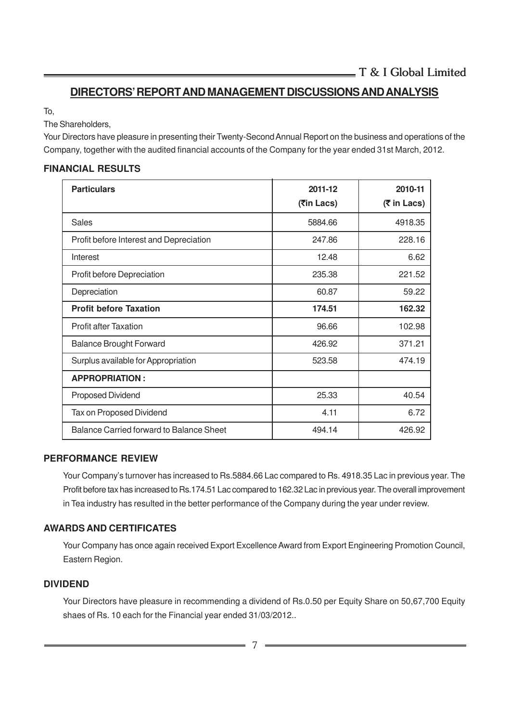# **DIRECTORS' REPORT AND MANAGEMENT DISCUSSIONS AND ANALYSIS**

To,

The Shareholders,

Your Directors have pleasure in presenting their Twenty-Second Annual Report on the business and operations of the Company, together with the audited financial accounts of the Company for the year ended 31st March, 2012.

# **FINANCIAL RESULTS**

| <b>Particulars</b>                       | 2011-12     | 2010-11     |
|------------------------------------------|-------------|-------------|
|                                          | (रैin Lacs) | (₹ in Lacs) |
| <b>Sales</b>                             | 5884.66     | 4918.35     |
| Profit before Interest and Depreciation  | 247.86      | 228.16      |
| Interest                                 | 12.48       | 6.62        |
| Profit before Depreciation               | 235.38      | 221.52      |
| Depreciation                             | 60.87       | 59.22       |
| <b>Profit before Taxation</b>            | 174.51      | 162.32      |
| <b>Profit after Taxation</b>             | 96.66       | 102.98      |
| <b>Balance Brought Forward</b>           | 426.92      | 371.21      |
| Surplus available for Appropriation      | 523.58      | 474.19      |
| <b>APPROPRIATION:</b>                    |             |             |
| Proposed Dividend                        | 25.33       | 40.54       |
| Tax on Proposed Dividend                 | 4.11        | 6.72        |
| Balance Carried forward to Balance Sheet | 494.14      | 426.92      |

### **PERFORMANCE REVIEW**

Your Company's turnover has increased to Rs.5884.66 Lac compared to Rs. 4918.35 Lac in previous year. The Profit before tax has increased to Rs.174.51 Lac compared to 162.32 Lac in previous year. The overall improvement in Tea industry has resulted in the better performance of the Company during the year under review.

### **AWARDS AND CERTIFICATES**

Your Company has once again received Export Excellence Award from Export Engineering Promotion Council, Eastern Region.

### **DIVIDEND**

Your Directors have pleasure in recommending a dividend of Rs.0.50 per Equity Share on 50,67,700 Equity shaes of Rs. 10 each for the Financial year ended 31/03/2012..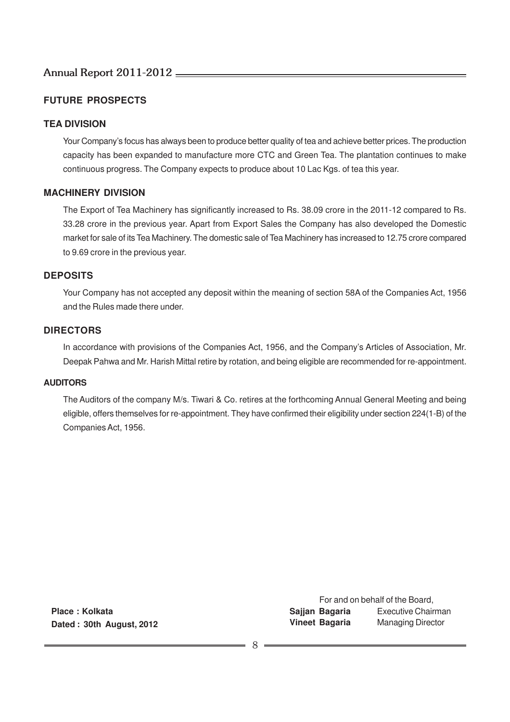# **FUTURE PROSPECTS**

### **TEA DIVISION**

Your Company's focus has always been to produce better quality of tea and achieve better prices. The production capacity has been expanded to manufacture more CTC and Green Tea. The plantation continues to make continuous progress. The Company expects to produce about 10 Lac Kgs. of tea this year.

### **MACHINERY DIVISION**

The Export of Tea Machinery has significantly increased to Rs. 38.09 crore in the 2011-12 compared to Rs. 33.28 crore in the previous year. Apart from Export Sales the Company has also developed the Domestic market for sale of its Tea Machinery. The domestic sale of Tea Machinery has increased to 12.75 crore compared to 9.69 crore in the previous year.

### **DEPOSITS**

Your Company has not accepted any deposit within the meaning of section 58A of the Companies Act, 1956 and the Rules made there under.

### **DIRECTORS**

In accordance with provisions of the Companies Act, 1956, and the Company's Articles of Association, Mr. Deepak Pahwa and Mr. Harish Mittal retire by rotation, and being eligible are recommended for re-appointment.

#### **AUDITORS**

The Auditors of the company M/s. Tiwari & Co. retires at the forthcoming Annual General Meeting and being eligible, offers themselves for re-appointment. They have confirmed their eligibility under section 224(1-B) of the Companies Act, 1956.

**Place : Kolkata Dated : 30th August, 2012**

For and on behalf of the Board, **Sajjan Bagaria** Executive Chairman **Vineet Bagaria** Managing Director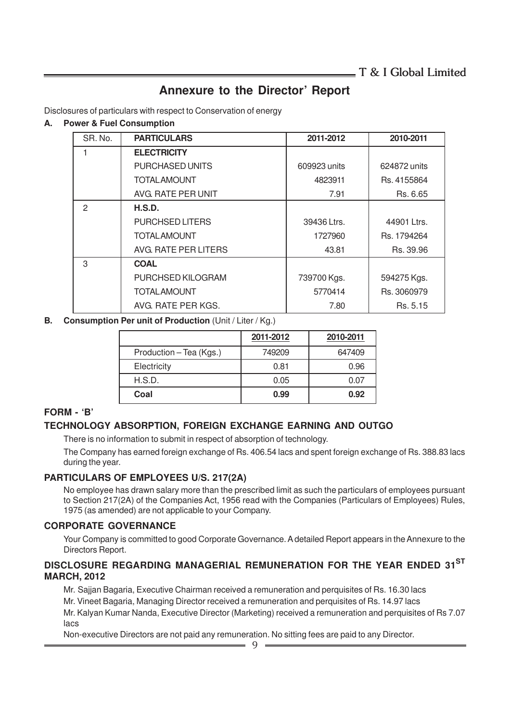# **Annexure to the Director' Report**

Disclosures of particulars with respect to Conservation of energy

#### **A. Power & Fuel Consumption**

| SR. No. | <b>PARTICULARS</b>     | 2011-2012    | 2010-2011    |
|---------|------------------------|--------------|--------------|
|         | <b>ELECTRICITY</b>     |              |              |
|         | <b>PURCHASED UNITS</b> | 609923 units | 624872 units |
|         | <b>TOTAL AMOUNT</b>    | 4823911      | Rs. 4155864  |
|         | AVG. RATE PER UNIT     | 7.91         | Rs. 6.65     |
| 2       | H.S.D.                 |              |              |
|         | <b>PURCHSED LITERS</b> | 39436 Ltrs.  | 44901 Ltrs.  |
|         | <b>TOTAL AMOUNT</b>    | 1727960      | Rs. 1794264  |
|         | AVG. RATE PER LITERS   | 43.81        | Rs. 39.96    |
| 3       | <b>COAL</b>            |              |              |
|         | PURCHSED KILOGRAM      | 739700 Kgs.  | 594275 Kgs.  |
|         | <b>TOTAL AMOUNT</b>    | 5770414      | Rs. 3060979  |
|         | AVG. RATE PER KGS.     | 7.80         | Rs. 5.15     |

**B. Consumption Per unit of Production** (Unit / Liter / Kg.)

|                         | 2011-2012 | 2010-2011 |
|-------------------------|-----------|-----------|
| Production - Tea (Kgs.) | 749209    | 647409    |
| Electricity             | 0.81      | 0.96      |
| H.S.D.                  | 0.05      | 0.07      |
| Coal                    | 0.99      | 0.92      |

### **FORM - 'B'**

# **TECHNOLOGY ABSORPTION, FOREIGN EXCHANGE EARNING AND OUTGO**

There is no information to submit in respect of absorption of technology.

The Company has earned foreign exchange of Rs. 406.54 lacs and spent foreign exchange of Rs. 388.83 lacs during the year.

### **PARTICULARS OF EMPLOYEES U/S. 217(2A)**

No employee has drawn salary more than the prescribed limit as such the particulars of employees pursuant to Section 217(2A) of the Companies Act, 1956 read with the Companies (Particulars of Employees) Rules, 1975 (as amended) are not applicable to your Company.

### **CORPORATE GOVERNANCE**

Your Company is committed to good Corporate Governance. A detailed Report appears in the Annexure to the Directors Report.

### **DISCLOSURE REGARDING MANAGERIAL REMUNERATION FOR THE YEAR ENDED 31ST MARCH, 2012**

Mr. Sajjan Bagaria, Executive Chairman received a remuneration and perquisites of Rs. 16.30 lacs Mr. Vineet Bagaria, Managing Director received a remuneration and perquisites of Rs. 14.97 lacs Mr. Kalyan Kumar Nanda, Executive Director (Marketing) received a remuneration and perquisites of Rs 7.07 lacs

Non-executive Directors are not paid any remuneration. No sitting fees are paid to any Director.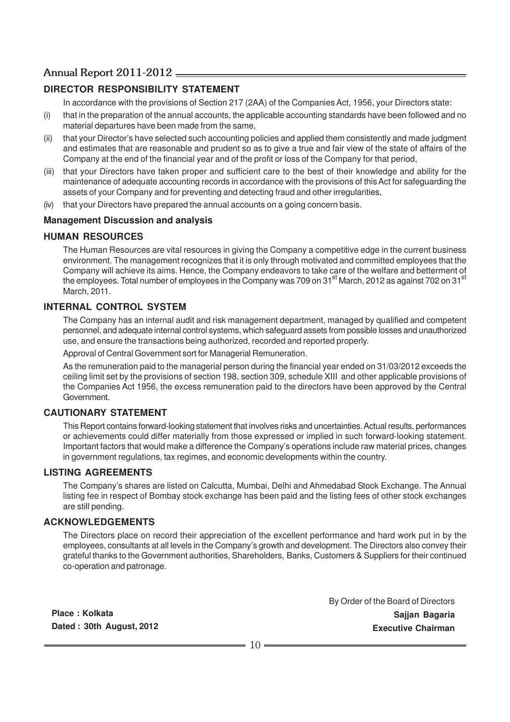# **DIRECTOR RESPONSIBILITY STATEMENT**

In accordance with the provisions of Section 217 (2AA) of the Companies Act, 1956, your Directors state:

- (i) that in the preparation of the annual accounts, the applicable accounting standards have been followed and no material departures have been made from the same,
- (ii) that your Director's have selected such accounting policies and applied them consistently and made judgment and estimates that are reasonable and prudent so as to give a true and fair view of the state of affairs of the Company at the end of the financial year and of the profit or loss of the Company for that period,
- (iii) that your Directors have taken proper and sufficient care to the best of their knowledge and ability for the maintenance of adequate accounting records in accordance with the provisions of this Act for safeguarding the assets of your Company and for preventing and detecting fraud and other irregularities,
- (iv) that your Directors have prepared the annual accounts on a going concern basis.

#### **Management Discussion and analysis**

#### **HUMAN RESOURCES**

The Human Resources are vital resources in giving the Company a competitive edge in the current business environment. The management recognizes that it is only through motivated and committed employees that the Company will achieve its aims. Hence, the Company endeavors to take care of the welfare and betterment of the employees. Total number of employees in the Company was 709 on 31<sup>st</sup> March, 2012 as against 702 on 31<sup>st</sup> March, 2011.

#### **INTERNAL CONTROL SYSTEM**

The Company has an internal audit and risk management department, managed by qualified and competent personnel, and adequate internal control systems, which safeguard assets from possible losses and unauthorized use, and ensure the transactions being authorized, recorded and reported properly.

Approval of Central Government sort for Managerial Remuneration.

As the remuneration paid to the managerial person during the financial year ended on 31/03/2012 exceeds the ceiling limit set by the provisions of section 198, section 309, schedule XIII and other applicable provisions of the Companies Act 1956, the excess remuneration paid to the directors have been approved by the Central Government.

#### **CAUTIONARY STATEMENT**

This Report contains forward-looking statement that involves risks and uncertainties. Actual results, performances or achievements could differ materially from those expressed or implied in such forward-looking statement. Important factors that would make a difference the Company's operations include raw material prices, changes in government regulations, tax regimes, and economic developments within the country.

#### **LISTING AGREEMENTS**

The Company's shares are listed on Calcutta, Mumbai, Delhi and Ahmedabad Stock Exchange. The Annual listing fee in respect of Bombay stock exchange has been paid and the listing fees of other stock exchanges are still pending.

#### **ACKNOWLEDGEMENTS**

The Directors place on record their appreciation of the excellent performance and hard work put in by the employees, consultants at all levels in the Company's growth and development. The Directors also convey their grateful thanks to the Government authorities, Shareholders, Banks, Customers & Suppliers for their continued co-operation and patronage.

**Place : Kolkata Dated : 30th August, 2012** By Order of the Board of Directors **Sajjan Bagaria Executive Chairman**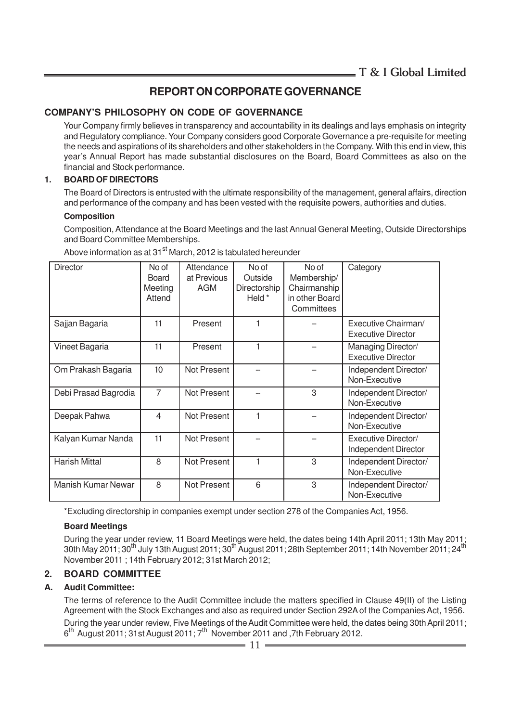# **REPORT ON CORPORATE GOVERNANCE**

### **COMPANY'S PHILOSOPHY ON CODE OF GOVERNANCE**

Your Company firmly believes in transparency and accountability in its dealings and lays emphasis on integrity and Regulatory compliance. Your Company considers good Corporate Governance a pre-requisite for meeting the needs and aspirations of its shareholders and other stakeholders in the Company. With this end in view, this year's Annual Report has made substantial disclosures on the Board, Board Committees as also on the financial and Stock performance.

#### **1. BOARD OF DIRECTORS**

The Board of Directors is entrusted with the ultimate responsibility of the management, general affairs, direction and performance of the company and has been vested with the requisite powers, authorities and duties.

#### **Composition**

Composition, Attendance at the Board Meetings and the last Annual General Meeting, Outside Directorships and Board Committee Memberships.

| <b>Director</b>           | No of<br><b>Board</b><br>Meeting<br>Attend | Attendance<br>at Previous<br>AGM | No of<br>Outside<br>Directorship<br>Held * | No of<br>Membership/<br>Chairmanship<br>in other Board<br>Committees | Category                                         |
|---------------------------|--------------------------------------------|----------------------------------|--------------------------------------------|----------------------------------------------------------------------|--------------------------------------------------|
| Sajjan Bagaria            | 11                                         | Present                          |                                            |                                                                      | Executive Chairman/<br><b>Executive Director</b> |
| Vineet Bagaria            | 11                                         | Present                          |                                            |                                                                      | Managing Director/<br><b>Executive Director</b>  |
| Om Prakash Bagaria        | 10                                         | Not Present                      |                                            |                                                                      | Independent Director/<br>Non-Executive           |
| Debi Prasad Bagrodia      | 7                                          | Not Present                      |                                            | 3                                                                    | Independent Director/<br>Non-Executive           |
| Deepak Pahwa              | 4                                          | <b>Not Present</b>               |                                            |                                                                      | Independent Director/<br>Non-Executive           |
| Kalyan Kumar Nanda        | 11                                         | Not Present                      |                                            |                                                                      | Executive Director/<br>Independent Director      |
| <b>Harish Mittal</b>      | 8                                          | <b>Not Present</b>               |                                            | 3                                                                    | Independent Director/<br>Non-Executive           |
| <b>Manish Kumar Newar</b> | 8                                          | Not Present                      | 6                                          | 3                                                                    | Independent Director/<br>Non-Executive           |

Above information as at 31<sup>st</sup> March, 2012 is tabulated hereunder

\*Excluding directorship in companies exempt under section 278 of the Companies Act, 1956.

#### **Board Meetings**

During the year under review, 11 Board Meetings were held, the dates being 14th April 2011; 13th May 2011; 30th May 2011; 30<sup>th</sup> July 13th August 2011; 30<sup>th</sup> August 2011; 28th September 2011; 14th November 2011; 24<sup>th</sup> November 2011 ; 14th February 2012; 31st March 2012;

#### **2. BOARD COMMITTEE**

#### **A. Audit Committee:**

The terms of reference to the Audit Committee include the matters specified in Clause 49(II) of the Listing Agreement with the Stock Exchanges and also as required under Section 292A of the Companies Act, 1956.

During the year under review, Five Meetings of the Audit Committee were held, the dates being 30th April 2011; 6<sup>th</sup> August 2011; 31st August 2011; 7<sup>th</sup> November 2011 and ,7th February 2012.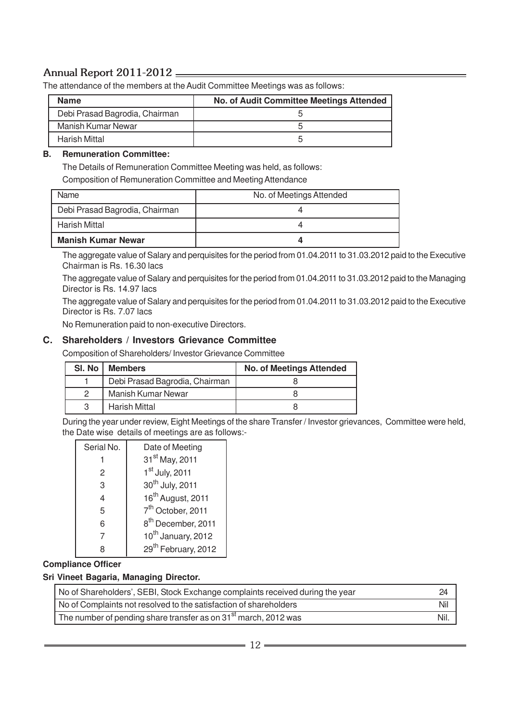The attendance of the members at the Audit Committee Meetings was as follows:

| <b>Name</b>                    | <b>No. of Audit Committee Meetings Attended</b> |
|--------------------------------|-------------------------------------------------|
| Debi Prasad Bagrodia, Chairman |                                                 |
| Manish Kumar Newar             |                                                 |
| Harish Mittal                  |                                                 |

#### **B. Remuneration Committee:**

The Details of Remuneration Committee Meeting was held, as follows:

Composition of Remuneration Committee and Meeting Attendance

| Name                           | No. of Meetings Attended |
|--------------------------------|--------------------------|
| Debi Prasad Bagrodia, Chairman |                          |
| Harish Mittal                  |                          |
| <b>Manish Kumar Newar</b>      |                          |

The aggregate value of Salary and perquisites for the period from 01.04.2011 to 31.03.2012 paid to the Executive Chairman is Rs. 16.30 lacs

The aggregate value of Salary and perquisites for the period from 01.04.2011 to 31.03.2012 paid to the Managing Director is Rs. 14.97 lacs

The aggregate value of Salary and perquisites for the period from 01.04.2011 to 31.03.2012 paid to the Executive Director is Rs. 7.07 lacs

No Remuneration paid to non-executive Directors.

#### **C. Shareholders / Investors Grievance Committee**

Composition of Shareholders/ Investor Grievance Committee

| SI. No I | <b>Members</b>                 | <b>No. of Meetings Attended</b> |
|----------|--------------------------------|---------------------------------|
|          | Debi Prasad Bagrodia, Chairman |                                 |
|          | <b>Manish Kumar Newar</b>      |                                 |
|          | Harish Mittal                  |                                 |

During the year under review, Eight Meetings of the share Transfer / Investor grievances, Committee were held, the Date wise details of meetings are as follows:-

| Serial No.     | Date of Meeting                 |
|----------------|---------------------------------|
|                | 31 <sup>st</sup> May, 2011      |
| 2              | 1st July, 2011                  |
| 3              | 30 <sup>th</sup> July, 2011     |
| $\overline{4}$ | 16 <sup>th</sup> August, 2011   |
| 5              | 7 <sup>th</sup> October, 2011   |
| 6              | 8 <sup>th</sup> December, 2011  |
|                | 10 <sup>th</sup> January, 2012  |
| Զ              | 29 <sup>th</sup> February, 2012 |

#### **Compliance Officer**

#### **Sri Vineet Bagaria, Managing Director.**

| No of Shareholders', SEBI, Stock Exchange complaints received during the year            | 24   |
|------------------------------------------------------------------------------------------|------|
| No of Complaints not resolved to the satisfaction of shareholders                        | Nil  |
| <sup>1</sup> The number of pending share transfer as on 31 <sup>st</sup> march, 2012 was | Nil. |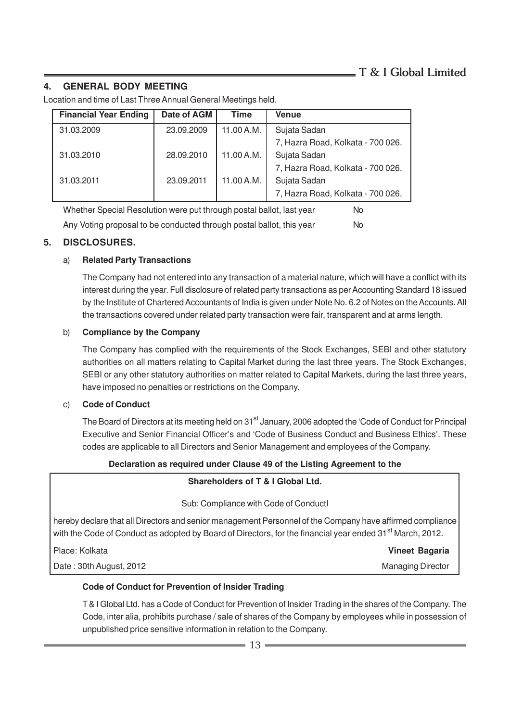# **4. GENERAL BODY MEETING**

Location and time of Last Three Annual General Meetings held.

| <b>Financial Year Ending</b>                                               | Date of AGM | <b>Time</b> | Venue                             |  |  |  |
|----------------------------------------------------------------------------|-------------|-------------|-----------------------------------|--|--|--|
| 31.03.2009                                                                 | 23.09.2009  | 11.00 A.M.  | Sujata Sadan                      |  |  |  |
|                                                                            |             |             | 7, Hazra Road, Kolkata - 700 026. |  |  |  |
| 31.03.2010                                                                 | 28.09.2010  | 11.00 A.M.  | Sujata Sadan                      |  |  |  |
|                                                                            |             |             | 7, Hazra Road, Kolkata - 700 026. |  |  |  |
| 31.03.2011                                                                 | 23.09.2011  | 11.00 A.M.  | Sujata Sadan                      |  |  |  |
|                                                                            |             |             | 7, Hazra Road, Kolkata - 700 026. |  |  |  |
| Whether Special Resolution were put through postal ballot, last year<br>No |             |             |                                   |  |  |  |

Any Voting proposal to be conducted through postal ballot, this year No

# **5. DISCLOSURES.**

### a) **Related Party Transactions**

The Company had not entered into any transaction of a material nature, which will have a conflict with its interest during the year. Full disclosure of related party transactions as per Accounting Standard 18 issued by the Institute of Chartered Accountants of India is given under Note No. 6.2 of Notes on the Accounts. All the transactions covered under related party transaction were fair, transparent and at arms length.

#### b) **Compliance by the Company**

The Company has complied with the requirements of the Stock Exchanges, SEBI and other statutory authorities on all matters relating to Capital Market during the last three years. The Stock Exchanges, SEBI or any other statutory authorities on matter related to Capital Markets, during the last three years, have imposed no penalties or restrictions on the Company.

#### c) **Code of Conduct**

The Board of Directors at its meeting held on 31<sup>st</sup> January, 2006 adopted the 'Code of Conduct for Principal Executive and Senior Financial Officer's and 'Code of Business Conduct and Business Ethics'. These codes are applicable to all Directors and Senior Management and employees of the Company.

#### **Declaration as required under Clause 49 of the Listing Agreement to the**

#### **Shareholders of T & I Global Ltd.**

#### Sub: Compliance with Code of ConductI

hereby declare that all Directors and senior management Personnel of the Company have affirmed compliance with the Code of Conduct as adopted by Board of Directors, for the financial year ended 31<sup>st</sup> March, 2012.

Place: Kolkata **Vineet Bagaria** Date : 30th August, 2012 **Managing Director** Managing Director

#### **Code of Conduct for Prevention of Insider Trading**

T & I Global Ltd. has a Code of Conduct for Prevention of Insider Trading in the shares of the Company. The Code, inter alia, prohibits purchase / sale of shares of the Company by employees while in possession of unpublished price sensitive information in relation to the Company.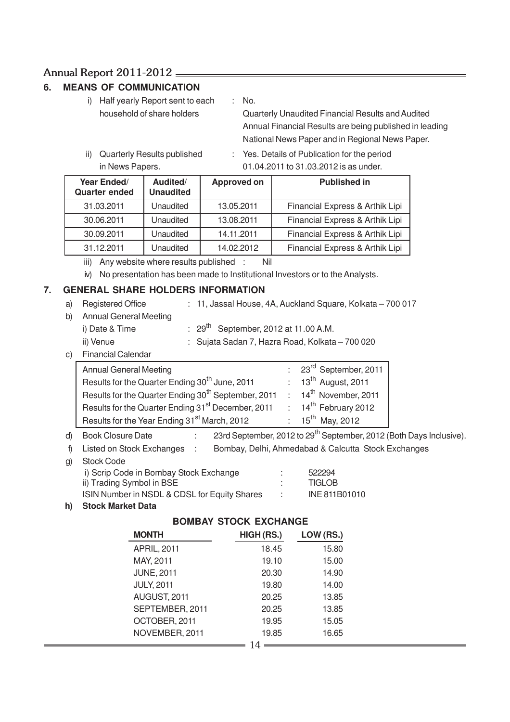# **6. MEANS OF COMMUNICATION**

i) Half yearly Report sent to each : No.

household of share holders Quarterly Unaudited Financial Results and Audited Annual Financial Results are being published in leading National News Paper and in Regional News Paper.

- 
- ii) Quarterly Results published : Yes. Details of Publication for the period in News Papers. 01.04.2011 to 31.03.2012 is as under.

| Year Ended/<br><b>Quarter ended</b> | Audited/<br><b>Unaudited</b> | <b>Approved on</b> | <b>Published in</b>             |
|-------------------------------------|------------------------------|--------------------|---------------------------------|
| 31.03.2011                          | Unaudited                    | 13.05.2011         | Financial Express & Arthik Lipi |
| 30.06.2011                          | Unaudited                    | 13.08.2011         | Financial Express & Arthik Lipi |
| 30.09.2011                          | Unaudited                    | 14.11.2011         | Financial Express & Arthik Lipi |
| 31.12.2011                          | Unaudited                    | 14.02.2012         | Financial Express & Arthik Lipi |

iii) Any website where results published : Nil

iv) No presentation has been made to Institutional Investors or to the Analysts.

### **7. GENERAL SHARE HOLDERS INFORMATION**

- a) Registered Office : 11, Jassal House, 4A, Auckland Square, Kolkata 700 017 b) Annual General Meeting i) Date & Time  $: 29^{th}$  September, 2012 at 11.00 A.M. ii) Venue : Sujata Sadan 7, Hazra Road, Kolkata – 700 020 c) Financial Calendar
	- Annual General Meeting in the same state of the 23<sup>rd</sup> September, 2011 Results for the Quarter Ending 30<sup>th</sup> June, 2011 : 13<sup>th</sup> August, 2011 Results for the Quarter Ending 30<sup>th</sup> September, 2011 : 14<sup>th</sup> November, 2011 Results for the Quarter Ending 31<sup>st</sup> December, 2011 : 14<sup>th</sup> February 2012 Results for the Year Ending  $31<sup>st</sup>$  March, 2012 : 15<sup>th</sup> May, 2012
- d) Book Closure Date :  $23$ rd September, 2012 to 29<sup>th</sup> September, 2012 (Both Days Inclusive).
- f) Listed on Stock Exchanges : Bombay, Delhi, Ahmedabad & Calcutta Stock Exchanges
- g) Stock Code
	- i) Scrip Code in Bombay Stock Exchange : 522294 ii) Trading Symbol in BSE : TIGLOB ISIN Number in NSDL & CDSL for Equity Shares : INE 811B01010

#### **h) Stock Market Data**

# **BOMBAY STOCK EXCHANGE**

| <b>MONTH</b>       | HIGH (RS.) | LOW (RS.) |
|--------------------|------------|-----------|
| <b>APRIL, 2011</b> | 18.45      | 15.80     |
| MAY, 2011          | 19.10      | 15.00     |
| <b>JUNE, 2011</b>  | 20.30      | 14.90     |
| <b>JULY, 2011</b>  | 19.80      | 14.00     |
| AUGUST, 2011       | 20.25      | 13.85     |
| SEPTEMBER, 2011    | 20.25      | 13.85     |
| OCTOBER, 2011      | 19.95      | 15.05     |
| NOVEMBER, 2011     | 19.85      | 16.65     |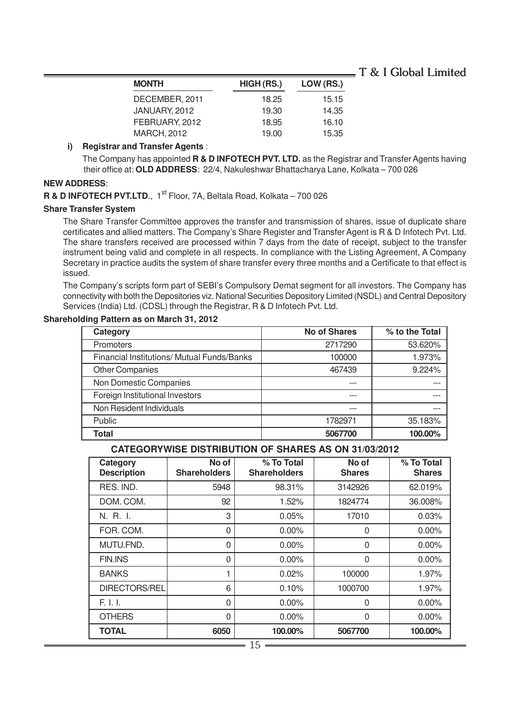| <b>MONTH</b>       | HIGH (RS.) | LOW (RS.) |
|--------------------|------------|-----------|
| DECEMBER, 2011     | 18.25      | 15.15     |
| JANUARY, 2012      | 19.30      | 14.35     |
| FEBRUARY, 2012     | 18.95      | 16.10     |
| <b>MARCH, 2012</b> | 19.00      | 15.35     |

#### **i) Registrar and Transfer Agents** :

The Company has appointed **R & D INFOTECH PVT. LTD.** as the Registrar and Transfer Agents having their office at: **OLD ADDRESS**: 22/4, Nakuleshwar Bhattacharya Lane, Kolkata – 700 026

#### **NEW ADDRESS**:

**R & D INFOTECH PVT.LTD., 1st Floor, 7A, Beltala Road, Kolkata – 700 026** 

#### **Share Transfer System**

The Share Transfer Committee approves the transfer and transmission of shares, issue of duplicate share certificates and allied matters. The Company's Share Register and Transfer Agent is R & D Infotech Pvt. Ltd. The share transfers received are processed within 7 days from the date of receipt, subject to the transfer instrument being valid and complete in all respects. In compliance with the Listing Agreement, A Company Secretary in practice audits the system of share transfer every three months and a Certificate to that effect is issued.

The Company's scripts form part of SEBI's Compulsory Demat segment for all investors. The Company has connectivity with both the Depositories viz. National Securities Depository Limited (NSDL) and Central Depository Services (India) Ltd. (CDSL) through the Registrar, R & D Infotech Pvt. Ltd.

| Category                                   | <b>No of Shares</b> | % to the Total |
|--------------------------------------------|---------------------|----------------|
| <b>Promoters</b>                           | 2717290             | 53.620%        |
| Financial Institutions/ Mutual Funds/Banks | 100000              | 1.973%         |
| <b>Other Companies</b>                     | 467439              | 9.224%         |
| Non Domestic Companies                     |                     |                |
| Foreign Institutional Investors            |                     |                |
| Non Resident Individuals                   |                     |                |
| Public                                     | 1782971             | 35.183%        |
| Total                                      | 5067700             | 100.00%        |

#### **Shareholding Pattern as on March 31, 2012**

#### **CATEGORYWISE DISTRIBUTION OF SHARES AS ON 31/03/2012**

| Category<br><b>Description</b> | No of<br><b>Shareholders</b> | % To Total<br><b>Shareholders</b> | No of<br><b>Shares</b> | % To Total<br><b>Shares</b> |
|--------------------------------|------------------------------|-----------------------------------|------------------------|-----------------------------|
| RES. IND.                      | 5948                         | 98.31%                            | 3142926                | 62.019%                     |
| DOM. COM.                      | 92                           | 1.52%                             | 1824774                | 36.008%                     |
| N. R. I.                       | 3                            | 0.05%                             | 17010                  | 0.03%                       |
| FOR. COM.                      | $\Omega$                     | $0.00\%$                          | $\Omega$               | $0.00\%$                    |
| MUTU.FND.                      | $\Omega$                     | $0.00\%$                          | 0                      | $0.00\%$                    |
| <b>FIN.INS</b>                 | $\Omega$                     | $0.00\%$                          | $\Omega$               | $0.00\%$                    |
| <b>BANKS</b>                   |                              | 0.02%                             | 100000                 | 1.97%                       |
| <b>DIRECTORS/REL</b>           | 6                            | 0.10%                             | 1000700                | 1.97%                       |
| F. I. I.                       | $\Omega$                     | $0.00\%$                          | O                      | $0.00\%$                    |
| <b>OTHERS</b>                  | 0                            | $0.00\%$                          | 0                      | $0.00\%$                    |
| <b>TOTAL</b>                   | 6050                         | 100.00%                           | 5067700                | 100.00%                     |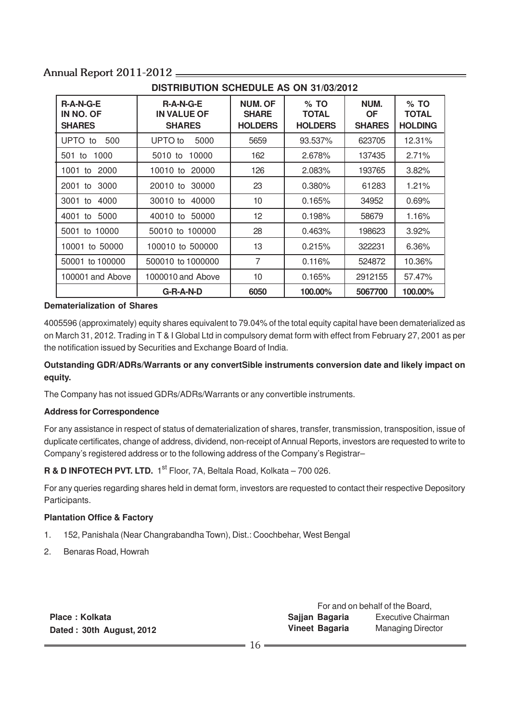| DISTRIBUTION SUMEDULE AS ON 31/03/2012    |                                                    |                                                  |                                          |                                    |                                          |  |
|-------------------------------------------|----------------------------------------------------|--------------------------------------------------|------------------------------------------|------------------------------------|------------------------------------------|--|
| $R-A-N-G-E$<br>IN NO. OF<br><b>SHARES</b> | $R-A-N-G-E$<br><b>IN VALUE OF</b><br><b>SHARES</b> | <b>NUM. OF</b><br><b>SHARE</b><br><b>HOLDERS</b> | $%$ TO<br><b>TOTAL</b><br><b>HOLDERS</b> | NUM.<br><b>OF</b><br><b>SHARES</b> | $%$ TO<br><b>TOTAL</b><br><b>HOLDING</b> |  |
| UPTO to<br>500                            | UPTO to<br>5000                                    | 5659                                             | 93.537%                                  | 623705                             | 12.31%                                   |  |
| 1000<br>501 to                            | 10000<br>5010 to                                   | 162                                              | 2.678%                                   | 137435                             | 2.71%                                    |  |
| 2000<br>1001 to                           | 10010 to<br>20000                                  | 126                                              | 2.083%                                   | 193765                             | 3.82%                                    |  |
| 3000<br>2001 to                           | 20010 to<br>30000                                  | 23                                               | $0.380\%$                                | 61283                              | 1.21%                                    |  |
| 3001 to<br>4000                           | 30010 to<br>40000                                  | 10                                               | 0.165%                                   | 34952                              | 0.69%                                    |  |
| 5000<br>4001<br>to                        | 50000<br>40010 to                                  | 12                                               | 0.198%                                   | 58679                              | 1.16%                                    |  |
| 5001 to 10000                             | 50010 to 100000                                    | 28                                               | 0.463%                                   | 198623                             | 3.92%                                    |  |
| 10001 to 50000                            | 100010 to 500000                                   | 13                                               | 0.215%                                   | 322231                             | 6.36%                                    |  |
| 50001 to 100000                           | 500010 to 1000000                                  | 7                                                | 0.116%                                   | 524872                             | 10.36%                                   |  |
| 100001 and Above                          | 1000010 and Above                                  | 10                                               | 0.165%                                   | 2912155                            | 57.47%                                   |  |
|                                           | G-R-A-N-D                                          | 6050                                             | 100.00%                                  | 5067700                            | 100.00%                                  |  |

# **DISTRIBUTION SCHEDULE AS ON 31/03/2012**

#### **Dematerialization of Shares**

4005596 (approximately) equity shares equivalent to 79.04% of the total equity capital have been dematerialized as on March 31, 2012. Trading in T & I Global Ltd in compulsory demat form with effect from February 27, 2001 as per the notification issued by Securities and Exchange Board of India.

### **Outstanding GDR/ADRs/Warrants or any convertSible instruments conversion date and likely impact on equity.**

The Company has not issued GDRs/ADRs/Warrants or any convertible instruments.

#### **Address for Correspondence**

For any assistance in respect of status of dematerialization of shares, transfer, transmission, transposition, issue of duplicate certificates, change of address, dividend, non-receipt of Annual Reports, investors are requested to write to Company's registered address or to the following address of the Company's Registrar–

**R & D INFOTECH PVT. LTD.** 1<sup>st</sup> Floor, 7A, Beltala Road, Kolkata – 700 026.

For any queries regarding shares held in demat form, investors are requested to contact their respective Depository Participants.

#### **Plantation Office & Factory**

- 1. 152, Panishala (Near Changrabandha Town), Dist.: Coochbehar, West Bengal
- 2. Benaras Road, Howrah

| Place: Kolkata |  |                          |  |
|----------------|--|--------------------------|--|
|                |  | Dated: 30th August, 2012 |  |

For and on behalf of the Board, **Sajjan Bagaria** Executive Chairman **Vineet Bagaria** Managing Director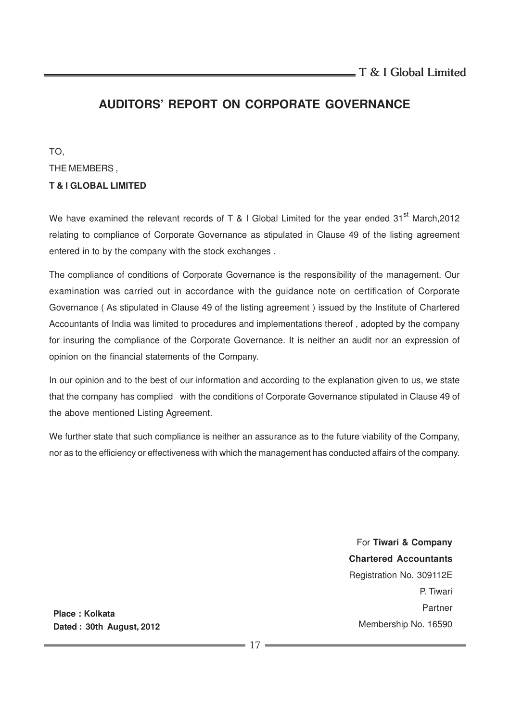# **AUDITORS' REPORT ON CORPORATE GOVERNANCE**

TO, THE MEMBERS , **T & I GLOBAL LIMITED**

We have examined the relevant records of T & I Global Limited for the year ended  $31<sup>st</sup>$  March, 2012 relating to compliance of Corporate Governance as stipulated in Clause 49 of the listing agreement entered in to by the company with the stock exchanges .

The compliance of conditions of Corporate Governance is the responsibility of the management. Our examination was carried out in accordance with the guidance note on certification of Corporate Governance ( As stipulated in Clause 49 of the listing agreement ) issued by the Institute of Chartered Accountants of India was limited to procedures and implementations thereof , adopted by the company for insuring the compliance of the Corporate Governance. It is neither an audit nor an expression of opinion on the financial statements of the Company.

In our opinion and to the best of our information and according to the explanation given to us, we state that the company has complied with the conditions of Corporate Governance stipulated in Clause 49 of the above mentioned Listing Agreement.

We further state that such compliance is neither an assurance as to the future viability of the Company, nor as to the efficiency or effectiveness with which the management has conducted affairs of the company.

> For **Tiwari & Company Chartered Accountants** Registration No. 309112E P. Tiwari Partner Membership No. 16590

**Place : Kolkata Dated : 30th August, 2012**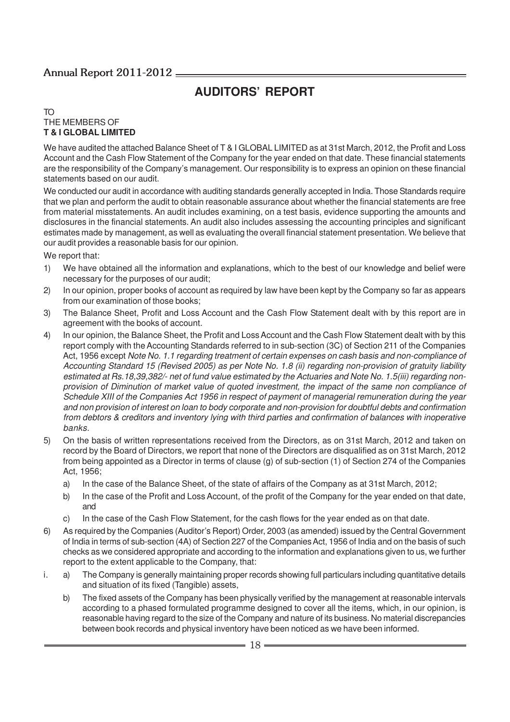# **AUDITORS' REPORT**

#### TO THE MEMBERS OF **T & I GLOBAL LIMITED**

We have audited the attached Balance Sheet of T & I GLOBAL LIMITED as at 31st March, 2012, the Profit and Loss Account and the Cash Flow Statement of the Company for the year ended on that date. These financial statements are the responsibility of the Company's management. Our responsibility is to express an opinion on these financial statements based on our audit.

We conducted our audit in accordance with auditing standards generally accepted in India. Those Standards require that we plan and perform the audit to obtain reasonable assurance about whether the financial statements are free from material misstatements. An audit includes examining, on a test basis, evidence supporting the amounts and disclosures in the financial statements. An audit also includes assessing the accounting principles and significant estimates made by management, as well as evaluating the overall financial statement presentation. We believe that our audit provides a reasonable basis for our opinion.

We report that:

- 1) We have obtained all the information and explanations, which to the best of our knowledge and belief were necessary for the purposes of our audit;
- 2) In our opinion, proper books of account as required by law have been kept by the Company so far as appears from our examination of those books;
- 3) The Balance Sheet, Profit and Loss Account and the Cash Flow Statement dealt with by this report are in agreement with the books of account.
- 4) In our opinion, the Balance Sheet, the Profit and Loss Account and the Cash Flow Statement dealt with by this report comply with the Accounting Standards referred to in sub-section (3C) of Section 211 of the Companies Act, 1956 except Note No. 1.1 regarding treatment of certain expenses on cash basis and non-compliance of Accounting Standard 15 (Revised 2005) as per Note No. 1.8 (ii) regarding non-provision of gratuity liability estimated at Rs.18,39,382/- net of fund value estimated by the Actuaries and Note No. 1.5(iii) regarding nonprovision of Diminution of market value of quoted investment, the impact of the same non compliance of Schedule XIII of the Companies Act 1956 in respect of payment of managerial remuneration during the year and non provision of interest on loan to body corporate and non-provision for doubtful debts and confirmation from debtors & creditors and inventory lying with third parties and confirmation of balances with inoperative banks.
- 5) On the basis of written representations received from the Directors, as on 31st March, 2012 and taken on record by the Board of Directors, we report that none of the Directors are disqualified as on 31st March, 2012 from being appointed as a Director in terms of clause (g) of sub-section (1) of Section 274 of the Companies Act, 1956;
	- a) In the case of the Balance Sheet, of the state of affairs of the Company as at 31st March, 2012;
	- b) In the case of the Profit and Loss Account, of the profit of the Company for the year ended on that date, and
	- c) In the case of the Cash Flow Statement, for the cash flows for the year ended as on that date.
- 6) As required by the Companies (Auditor's Report) Order, 2003 (as amended) issued by the Central Government of India in terms of sub-section (4A) of Section 227 of the Companies Act, 1956 of India and on the basis of such checks as we considered appropriate and according to the information and explanations given to us, we further report to the extent applicable to the Company, that:
- i. a) The Company is generally maintaining proper records showing full particulars including quantitative details and situation of its fixed (Tangible) assets,
	- b) The fixed assets of the Company has been physically verified by the management at reasonable intervals according to a phased formulated programme designed to cover all the items, which, in our opinion, is reasonable having regard to the size of the Company and nature of its business. No material discrepancies between book records and physical inventory have been noticed as we have been informed.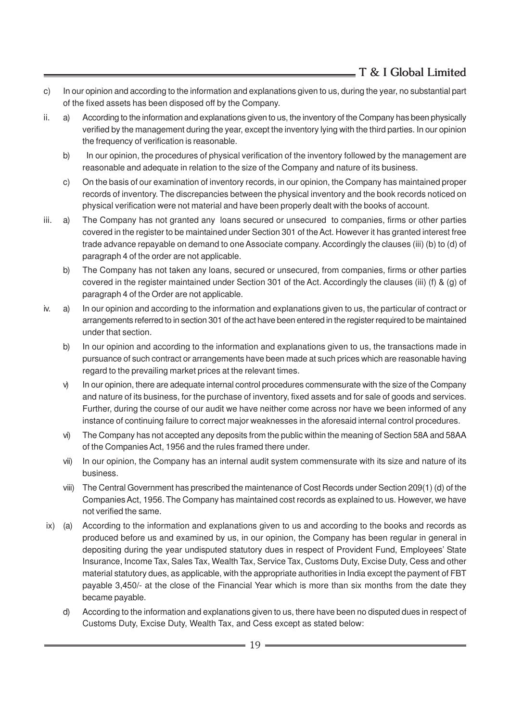- c) In our opinion and according to the information and explanations given to us, during the year, no substantial part of the fixed assets has been disposed off by the Company.
- ii. a) According to the information and explanations given to us, the inventory of the Company has been physically verified by the management during the year, except the inventory lying with the third parties. In our opinion the frequency of verification is reasonable.
	- b) In our opinion, the procedures of physical verification of the inventory followed by the management are reasonable and adequate in relation to the size of the Company and nature of its business.
	- c) On the basis of our examination of inventory records, in our opinion, the Company has maintained proper records of inventory. The discrepancies between the physical inventory and the book records noticed on physical verification were not material and have been properly dealt with the books of account.
- iii. a) The Company has not granted any loans secured or unsecured to companies, firms or other parties covered in the register to be maintained under Section 301 of the Act. However it has granted interest free trade advance repayable on demand to one Associate company. Accordingly the clauses (iii) (b) to (d) of paragraph 4 of the order are not applicable.
	- b) The Company has not taken any loans, secured or unsecured, from companies, firms or other parties covered in the register maintained under Section 301 of the Act. Accordingly the clauses (iii) (f) & (g) of paragraph 4 of the Order are not applicable.
- iv. a) In our opinion and according to the information and explanations given to us, the particular of contract or arrangements referred to in section 301 of the act have been entered in the register required to be maintained under that section.
	- b) In our opinion and according to the information and explanations given to us, the transactions made in pursuance of such contract or arrangements have been made at such prices which are reasonable having regard to the prevailing market prices at the relevant times.
	- v) In our opinion, there are adequate internal control procedures commensurate with the size of the Company and nature of its business, for the purchase of inventory, fixed assets and for sale of goods and services. Further, during the course of our audit we have neither come across nor have we been informed of any instance of continuing failure to correct major weaknesses in the aforesaid internal control procedures.
	- vi) The Company has not accepted any deposits from the public within the meaning of Section 58A and 58AA of the Companies Act, 1956 and the rules framed there under.
	- vii) In our opinion, the Company has an internal audit system commensurate with its size and nature of its business.
	- viii) The Central Government has prescribed the maintenance of Cost Records under Section 209(1) (d) of the Companies Act, 1956. The Company has maintained cost records as explained to us. However, we have not verified the same.
- ix) (a) According to the information and explanations given to us and according to the books and records as produced before us and examined by us, in our opinion, the Company has been regular in general in depositing during the year undisputed statutory dues in respect of Provident Fund, Employees' State Insurance, Income Tax, Sales Tax, Wealth Tax, Service Tax, Customs Duty, Excise Duty, Cess and other material statutory dues, as applicable, with the appropriate authorities in India except the payment of FBT payable 3,450/- at the close of the Financial Year which is more than six months from the date they became payable.
	- d) According to the information and explanations given to us, there have been no disputed dues in respect of Customs Duty, Excise Duty, Wealth Tax, and Cess except as stated below: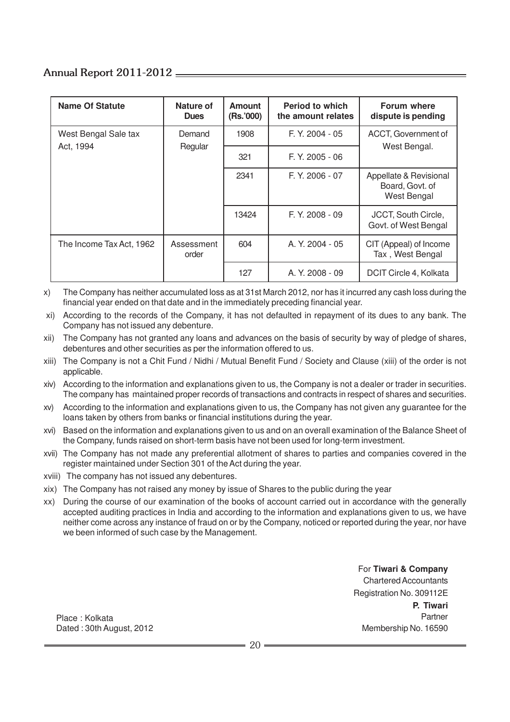| <b>Name Of Statute</b>   | Nature of<br><b>Dues</b> | <b>Amount</b><br>(Rs.'000) | <b>Period to which</b><br>the amount relates | Forum where<br>dispute is pending                               |
|--------------------------|--------------------------|----------------------------|----------------------------------------------|-----------------------------------------------------------------|
| West Bengal Sale tax     | Demand<br>Regular        | 1908                       | $F. Y. 2004 - 05$                            | ACCT, Government of                                             |
| Act, 1994                |                          | 321                        | F. Y. 2005 - 06                              | West Bengal.                                                    |
|                          |                          | 2341                       | $F. Y. 2006 - 07$                            | Appellate & Revisional<br>Board, Govt. of<br><b>West Bengal</b> |
|                          |                          | 13424                      | $F. Y. 2008 - 09$                            | JCCT, South Circle,<br>Govt. of West Bengal                     |
| The Income Tax Act, 1962 | Assessment<br>order      | 604                        | A. Y. 2004 - 05                              | CIT (Appeal) of Income<br>Tax, West Bengal                      |
|                          |                          | 127                        | A. Y. 2008 - 09                              | DCIT Circle 4, Kolkata                                          |

x) The Company has neither accumulated loss as at 31st March 2012, nor has it incurred any cash loss during the financial year ended on that date and in the immediately preceding financial year.

 xi) According to the records of the Company, it has not defaulted in repayment of its dues to any bank. The Company has not issued any debenture.

- xii) The Company has not granted any loans and advances on the basis of security by way of pledge of shares, debentures and other securities as per the information offered to us.
- xiii) The Company is not a Chit Fund / Nidhi / Mutual Benefit Fund / Society and Clause (xiii) of the order is not applicable.
- xiv) According to the information and explanations given to us, the Company is not a dealer or trader in securities. The company has maintained proper records of transactions and contracts in respect of shares and securities.
- xv) According to the information and explanations given to us, the Company has not given any guarantee for the loans taken by others from banks or financial institutions during the year.
- xvi) Based on the information and explanations given to us and on an overall examination of the Balance Sheet of the Company, funds raised on short-term basis have not been used for long-term investment.
- xvii) The Company has not made any preferential allotment of shares to parties and companies covered in the register maintained under Section 301 of the Act during the year.
- xviii) The company has not issued any debentures.
- xix) The Company has not raised any money by issue of Shares to the public during the year
- xx) During the course of our examination of the books of account carried out in accordance with the generally accepted auditing practices in India and according to the information and explanations given to us, we have neither come across any instance of fraud on or by the Company, noticed or reported during the year, nor have we been informed of such case by the Management.

For **Tiwari & Company** Chartered Accountants Registration No. 309112E **P. Tiwari** Partner Membership No. 16590

Place : Kolkata Dated : 30th August, 2012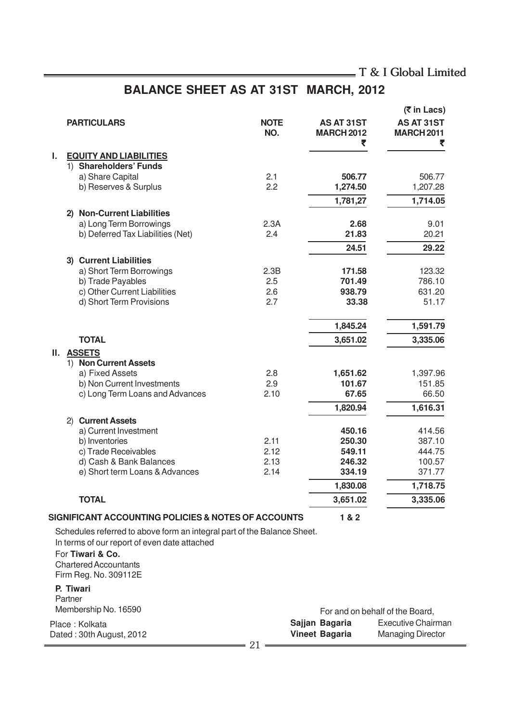# **BALANCE SHEET AS AT 31ST MARCH, 2012**

|    |         |                                                                         |                    |                                             | (₹ in Lacs)                          |
|----|---------|-------------------------------------------------------------------------|--------------------|---------------------------------------------|--------------------------------------|
|    |         | <b>PARTICULARS</b>                                                      | <b>NOTE</b><br>NO. | <b>AS AT 31ST</b><br><b>MARCH 2012</b><br>₹ | AS AT 31ST<br><b>MARCH 2011</b><br>₹ |
| ı. |         | <b>EQUITY AND LIABILITIES</b>                                           |                    |                                             |                                      |
|    |         | 1) Shareholders' Funds                                                  |                    |                                             |                                      |
|    |         | a) Share Capital                                                        | 2.1                | 506.77                                      | 506.77                               |
|    |         | b) Reserves & Surplus                                                   | 2.2                | 1,274.50                                    | 1,207.28                             |
|    |         |                                                                         |                    | 1,781,27                                    | 1,714.05                             |
|    | 2)      | <b>Non-Current Liabilities</b>                                          |                    |                                             |                                      |
|    |         | a) Long Term Borrowings                                                 | 2.3A               | 2.68                                        | 9.01                                 |
|    |         | b) Deferred Tax Liabilities (Net)                                       | 2.4                | 21.83                                       | 20.21                                |
|    |         |                                                                         |                    | 24.51                                       | 29.22                                |
|    |         | 3) Current Liabilities                                                  |                    |                                             |                                      |
|    |         | a) Short Term Borrowings                                                | 2.3B               | 171.58                                      | 123.32                               |
|    |         | b) Trade Payables                                                       | 2.5                | 701.49                                      | 786.10                               |
|    |         | c) Other Current Liabilities                                            | 2.6                | 938.79                                      | 631.20                               |
|    |         | d) Short Term Provisions                                                | 2.7                | 33.38                                       | 51.17                                |
|    |         |                                                                         |                    | 1,845.24                                    | 1,591.79                             |
|    |         | <b>TOTAL</b>                                                            |                    | 3,651.02                                    | 3,335.06                             |
| Ш. |         | <b>ASSETS</b>                                                           |                    |                                             |                                      |
|    |         | 1) Non Current Assets                                                   |                    |                                             |                                      |
|    |         | a) Fixed Assets                                                         | 2.8                | 1,651.62                                    | 1,397.96                             |
|    |         | b) Non Current Investments                                              | 2.9                | 101.67                                      | 151.85                               |
|    |         | c) Long Term Loans and Advances                                         | 2.10               | 67.65                                       | 66.50                                |
|    |         |                                                                         |                    | 1,820.94                                    | 1,616.31                             |
|    |         | 2) Current Assets                                                       |                    |                                             |                                      |
|    |         | a) Current Investment                                                   |                    | 450.16                                      | 414.56                               |
|    |         | b) Inventories                                                          | 2.11               | 250.30                                      | 387.10                               |
|    |         | c) Trade Receivables                                                    | 2.12               | 549.11                                      | 444.75                               |
|    |         | d) Cash & Bank Balances                                                 | 2.13               | 246.32                                      | 100.57                               |
|    |         | e) Short term Loans & Advances                                          | 2.14               | 334.19                                      | 371.77                               |
|    |         |                                                                         |                    | 1,830.08                                    | 1,718.75                             |
|    |         | <b>TOTAL</b>                                                            |                    | 3,651.02                                    | 3,335.06                             |
|    |         | SIGNIFICANT ACCOUNTING POLICIES & NOTES OF ACCOUNTS                     |                    | 1 & 2                                       |                                      |
|    |         | Schedules referred to above form an integral part of the Balance Sheet. |                    |                                             |                                      |
|    |         | In terms of our report of even date attached                            |                    |                                             |                                      |
|    |         | For Tiwari & Co.                                                        |                    |                                             |                                      |
|    |         | <b>Chartered Accountants</b>                                            |                    |                                             |                                      |
|    |         | Firm Reg. No. 309112E                                                   |                    |                                             |                                      |
|    |         | P. Tiwari                                                               |                    |                                             |                                      |
|    | Partner |                                                                         |                    |                                             |                                      |
|    |         | Membership No. 16590                                                    |                    | Earland on boholf of the Roard              |                                      |

| Membership No. 16590     | For and on behalf of the Board, |                       |                          |
|--------------------------|---------------------------------|-----------------------|--------------------------|
| Place: Kolkata           |                                 | Sajjan Bagaria        | Executive Chairman       |
| Dated: 30th August, 2012 |                                 | <b>Vineet Bagaria</b> | <b>Managing Director</b> |
|                          |                                 |                       |                          |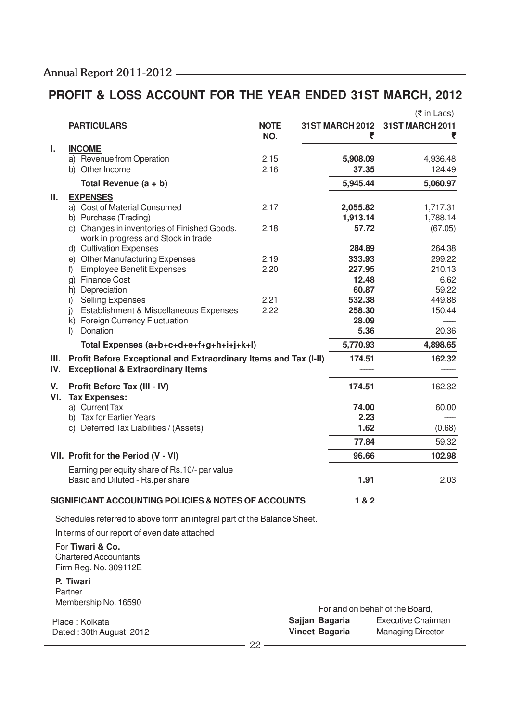# **PROFIT & LOSS ACCOUNT FOR THE YEAR ENDED 31ST MARCH, 2012**

|           |                                                                                                                  |                    |                       |          | $(5 \in \text{In}$ Lacs)                                     |
|-----------|------------------------------------------------------------------------------------------------------------------|--------------------|-----------------------|----------|--------------------------------------------------------------|
|           | <b>PARTICULARS</b>                                                                                               | <b>NOTE</b><br>NO. |                       | ₹        | 31ST MARCH 2012 31ST MARCH 2011                              |
| ı.        | <b>INCOME</b>                                                                                                    |                    |                       |          |                                                              |
|           | a) Revenue from Operation                                                                                        | 2.15               |                       | 5,908.09 | 4,936.48                                                     |
|           | b) Other Income                                                                                                  | 2.16               |                       | 37.35    | 124.49                                                       |
|           | Total Revenue $(a + b)$                                                                                          |                    |                       | 5,945.44 | 5,060.97                                                     |
| Ш.        | <b>EXPENSES</b>                                                                                                  |                    |                       |          |                                                              |
|           | a) Cost of Material Consumed                                                                                     | 2.17               |                       | 2,055.82 | 1,717.31                                                     |
|           | b) Purchase (Trading)                                                                                            |                    |                       | 1,913.14 | 1,788.14                                                     |
|           | c) Changes in inventories of Finished Goods,<br>work in progress and Stock in trade                              | 2.18               |                       | 57.72    | (67.05)                                                      |
|           | d) Cultivation Expenses                                                                                          |                    |                       | 284.89   | 264.38                                                       |
|           | e) Other Manufacturing Expenses                                                                                  | 2.19               |                       | 333.93   | 299.22                                                       |
|           | <b>Employee Benefit Expenses</b><br>f)                                                                           | 2.20               |                       | 227.95   | 210.13                                                       |
|           | <b>Finance Cost</b><br>g)                                                                                        |                    |                       | 12.48    | 6.62                                                         |
|           | Depreciation<br>h)                                                                                               |                    |                       | 60.87    | 59.22                                                        |
|           | <b>Selling Expenses</b><br>i)                                                                                    | 2.21               |                       | 532.38   | 449.88                                                       |
|           | Establishment & Miscellaneous Expenses<br>$\mathbf{j}$                                                           | 2.22               |                       | 258.30   | 150.44                                                       |
|           | k) Foreign Currency Fluctuation                                                                                  |                    |                       | 28.09    |                                                              |
|           | Donation<br>$\mathbb{D}$                                                                                         |                    |                       | 5.36     | 20.36                                                        |
|           | Total Expenses (a+b+c+d+e+f+g+h+i+j+k+l)                                                                         |                    |                       | 5,770.93 | 4,898.65                                                     |
| Ш.<br>IV. | Profit Before Exceptional and Extraordinary Items and Tax (I-II)<br><b>Exceptional &amp; Extraordinary Items</b> |                    |                       | 174.51   | 162.32                                                       |
| V.<br>VI. | Profit Before Tax (III - IV)<br><b>Tax Expenses:</b>                                                             |                    |                       | 174.51   | 162.32                                                       |
|           | a) Current Tax                                                                                                   |                    |                       | 74.00    | 60.00                                                        |
|           | b) Tax for Earlier Years                                                                                         |                    |                       | 2.23     |                                                              |
|           | c) Deferred Tax Liabilities / (Assets)                                                                           |                    |                       | 1.62     | (0.68)                                                       |
|           |                                                                                                                  |                    |                       | 77.84    | 59.32                                                        |
|           | VII. Profit for the Period (V - VI)                                                                              |                    |                       | 96.66    | 102.98                                                       |
|           | Earning per equity share of Rs.10/- par value                                                                    |                    |                       |          |                                                              |
|           | Basic and Diluted - Rs.per share                                                                                 |                    |                       | 1.91     | 2.03                                                         |
|           | SIGNIFICANT ACCOUNTING POLICIES & NOTES OF ACCOUNTS                                                              |                    |                       | 1 & 2    |                                                              |
|           | Schedules referred to above form an integral part of the Balance Sheet.                                          |                    |                       |          |                                                              |
|           | In terms of our report of even date attached                                                                     |                    |                       |          |                                                              |
|           | For Tiwari & Co.                                                                                                 |                    |                       |          |                                                              |
|           | <b>Chartered Accountants</b><br>Firm Reg. No. 309112E                                                            |                    |                       |          |                                                              |
|           | P. Tiwari                                                                                                        |                    |                       |          |                                                              |
|           | Partner                                                                                                          |                    |                       |          |                                                              |
|           | Membership No. 16590                                                                                             |                    |                       |          |                                                              |
|           |                                                                                                                  |                    |                       |          | For and on behalf of the Board,<br><b>Executive Chairman</b> |
|           | Place: Kolkata                                                                                                   |                    | Sajjan Bagaria        |          |                                                              |
|           | Dated: 30th August, 2012                                                                                         |                    | <b>Vineet Bagaria</b> |          | <b>Managing Director</b>                                     |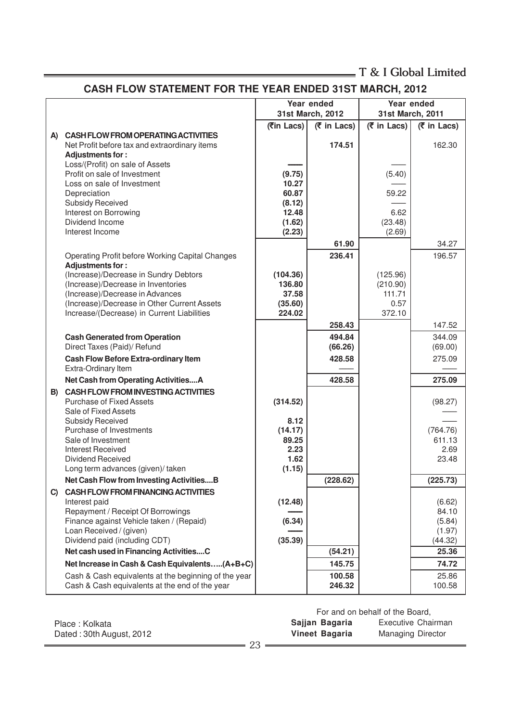# **CASH FLOW STATEMENT FOR THE YEAR ENDED 31ST MARCH, 2012**

<u> 1980 - Johann Barbara, martx</u>

|    |                                                                         |                  | Year ended                 |                            | Year ended         |
|----|-------------------------------------------------------------------------|------------------|----------------------------|----------------------------|--------------------|
|    |                                                                         |                  | 31st March, 2012           | 31st March, 2011           |                    |
|    |                                                                         | (रैin Lacs)      | $(5 \in \mathsf{In}$ Lacs) | $(5 \in \mathsf{In}$ Lacs) | (₹ in Lacs)        |
| A) | <b>CASH FLOW FROM OPERATING ACTIVITIES</b>                              |                  |                            |                            |                    |
|    | Net Profit before tax and extraordinary items                           |                  | 174.51                     |                            | 162.30             |
|    | Adjustments for:                                                        |                  |                            |                            |                    |
|    | Loss/(Profit) on sale of Assets<br>Profit on sale of Investment         | (9.75)           |                            | (5.40)                     |                    |
|    | Loss on sale of Investment                                              | 10.27            |                            |                            |                    |
|    | Depreciation                                                            | 60.87            |                            | 59.22                      |                    |
|    | Subsidy Received                                                        | (8.12)           |                            |                            |                    |
|    | Interest on Borrowing                                                   | 12.48            |                            | 6.62                       |                    |
|    | Dividend Income                                                         | (1.62)           |                            | (23.48)                    |                    |
|    | Interest Income                                                         | (2.23)           |                            | (2.69)                     |                    |
|    |                                                                         |                  | 61.90                      |                            | 34.27              |
|    | Operating Profit before Working Capital Changes                         |                  | 236.41                     |                            | 196.57             |
|    | Adjustments for:                                                        |                  |                            |                            |                    |
|    | (Increase)/Decrease in Sundry Debtors                                   | (104.36)         |                            | (125.96)                   |                    |
|    | (Increase)/Decrease in Inventories<br>(Increase)/Decrease in Advances   | 136.80<br>37.58  |                            | (210.90)<br>111.71         |                    |
|    | (Increase)/Decrease in Other Current Assets                             | (35.60)          |                            | 0.57                       |                    |
|    | Increase/(Decrease) in Current Liabilities                              | 224.02           |                            | 372.10                     |                    |
|    |                                                                         |                  | 258.43                     |                            | 147.52             |
|    | <b>Cash Generated from Operation</b>                                    |                  | 494.84                     |                            | 344.09             |
|    | Direct Taxes (Paid)/ Refund                                             |                  | (66.26)                    |                            | (69.00)            |
|    | <b>Cash Flow Before Extra-ordinary Item</b>                             |                  | 428.58                     |                            | 275.09             |
|    | Extra-Ordinary Item                                                     |                  |                            |                            |                    |
|    | Net Cash from Operating ActivitiesA                                     |                  | 428.58                     |                            | 275.09             |
| B) | <b>CASH FLOW FROM INVESTING ACTIVITIES</b>                              |                  |                            |                            |                    |
|    | <b>Purchase of Fixed Assets</b>                                         | (314.52)         |                            |                            | (98.27)            |
|    | Sale of Fixed Assets                                                    |                  |                            |                            |                    |
|    | Subsidy Received                                                        | 8.12             |                            |                            |                    |
|    | Purchase of Investments<br>Sale of Investment                           | (14.17)<br>89.25 |                            |                            | (764.76)<br>611.13 |
|    | <b>Interest Received</b>                                                | 2.23             |                            |                            | 2.69               |
|    | <b>Dividend Received</b>                                                | 1.62             |                            |                            | 23.48              |
|    | Long term advances (given)/ taken                                       | (1.15)           |                            |                            |                    |
|    | Net Cash Flow from Investing ActivitiesB                                |                  | (228.62)                   |                            | (225.73)           |
| C) | <b>CASH FLOW FROM FINANCING ACTIVITIES</b>                              |                  |                            |                            |                    |
|    | Interest paid                                                           | (12.48)          |                            |                            | (6.62)             |
|    | Repayment / Receipt Of Borrowings                                       |                  |                            |                            | 84.10              |
|    | Finance against Vehicle taken / (Repaid)                                | (6.34)           |                            |                            | (5.84)             |
|    | Loan Received / (given)                                                 |                  |                            |                            | (1.97)             |
|    | Dividend paid (including CDT)<br>Net cash used in Financing ActivitiesC | (35.39)          |                            |                            | (44.32)            |
|    |                                                                         |                  | (54.21)                    |                            | 25.36              |
|    | Net Increase in Cash & Cash Equivalents(A+B+C)                          |                  | 145.75                     |                            | 74.72              |
|    | Cash & Cash equivalents at the beginning of the year                    |                  | 100.58                     |                            | 25.86              |
|    | Cash & Cash equivalents at the end of the year                          |                  | 246.32                     |                            | 100.58             |

|                          |                | For and on behalf of the Board, |  |  |  |
|--------------------------|----------------|---------------------------------|--|--|--|
| Place: Kolkata           | Sajjan Bagaria | Executive Chairman              |  |  |  |
| Dated: 30th August, 2012 | Vineet Bagaria | <b>Managing Director</b>        |  |  |  |
|                          | りっ             |                                 |  |  |  |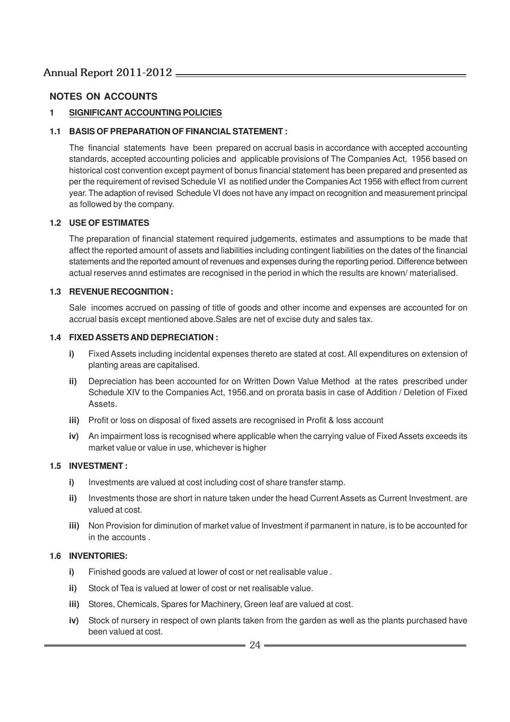### **NOTES ON ACCOUNTS**

#### **1 SIGNIFICANT ACCOUNTING POLICIES**

#### **1.1 BASIS OF PREPARATION OF FINANCIAL STATEMENT :**

The financial statements have been prepared on accrual basis in accordance with accepted accounting standards, accepted accounting policies and applicable provisions of The Companies Act, 1956 based on historical cost convention except payment of bonus financial statement has been prepared and presented as per the requirement of revised Schedule VI as notified under the Companies Act 1956 with effect from current year. The adaption of revised Schedule VI does not have any impact on recognition and measurement principal as followed by the company.

#### **1.2 USE OF ESTIMATES**

The preparation of financial statement required judgements, estimates and assumptions to be made that affect the reported amount of assets and liabilities including contingent liabilities on the dates of the financial statements and the reported amount of revenues and expenses during the reporting period. Difference between actual reserves annd estimates are recognised in the period in which the results are known/ materialised.

#### **1.3 REVENUE RECOGNITION :**

Sale incomes accrued on passing of title of goods and other income and expenses are accounted for on accrual basis except mentioned above.Sales are net of excise duty and sales tax.

#### **1.4 FIXED ASSETS AND DEPRECIATION :**

- **i)** Fixed Assets including incidental expenses thereto are stated at cost. All expenditures on extension of planting areas are capitalised.
- **ii)** Depreciation has been accounted for on Written Down Value Method at the rates prescribed under Schedule XIV to the Companies Act, 1956.and on prorata basis in case of Addition / Deletion of Fixed Assets.
- **iii)** Profit or loss on disposal of fixed assets are recognised in Profit & loss account
- **iv)** An impairment loss is recognised where applicable when the carrying value of Fixed Assets exceeds its market value or value in use, whichever is higher

#### **1.5 INVESTMENT :**

- **i)** Investments are valued at cost including cost of share transfer stamp.
- **ii)** Investments those are short in nature taken under the head Current Assets as Current Investment. are valued at cost.
- **iii)** Non Provision for diminution of market value of Investment if parmanent in nature, is to be accounted for in the accounts .

#### **1.6 INVENTORIES:**

- **i)** Finished goods are valued at lower of cost or net realisable value .
- **ii)** Stock of Tea is valued at lower of cost or net realisable value.
- **iii)** Stores, Chemicals, Spares for Machinery, Green leaf are valued at cost.
- **iv)** Stock of nursery in respect of own plants taken from the garden as well as the plants purchased have been valued at cost.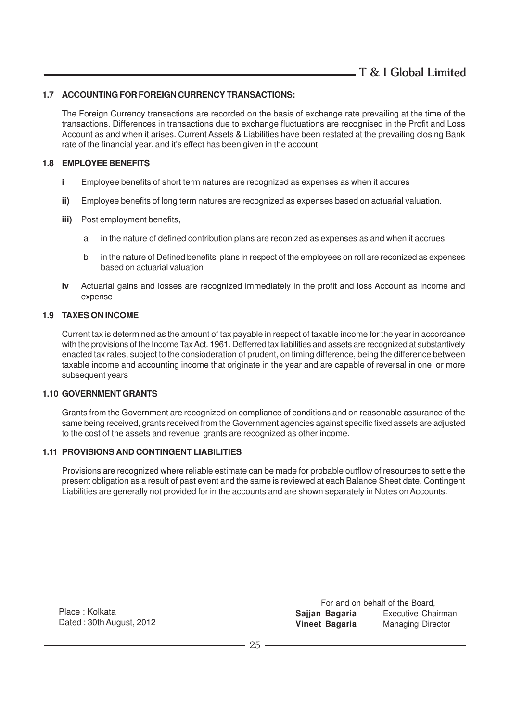#### **1.7 ACCOUNTING FOR FOREIGN CURRENCY TRANSACTIONS:**

The Foreign Currency transactions are recorded on the basis of exchange rate prevailing at the time of the transactions. Differences in transactions due to exchange fluctuations are recognised in the Profit and Loss Account as and when it arises. Current Assets & Liabilities have been restated at the prevailing closing Bank rate of the financial year. and it's effect has been given in the account.

#### **1.8 EMPLOYEE BENEFITS**

- **i** Employee benefits of short term natures are recognized as expenses as when it accures
- **ii)** Employee benefits of long term natures are recognized as expenses based on actuarial valuation.
- **iii)** Post employment benefits,
	- a in the nature of defined contribution plans are reconized as expenses as and when it accrues.
	- b in the nature of Defined benefits plans in respect of the employees on roll are reconized as expenses based on actuarial valuation
- **iv** Actuarial gains and losses are recognized immediately in the profit and loss Account as income and expense

#### **1.9 TAXES ON INCOME**

Current tax is determined as the amount of tax payable in respect of taxable income for the year in accordance with the provisions of the Income Tax Act. 1961. Defferred tax liabilities and assets are recognized at substantively enacted tax rates, subject to the consioderation of prudent, on timing difference, being the difference between taxable income and accounting income that originate in the year and are capable of reversal in one or more subsequent years

#### **1.10 GOVERNMENT GRANTS**

Grants from the Government are recognized on compliance of conditions and on reasonable assurance of the same being received, grants received from the Government agencies against specific fixed assets are adjusted to the cost of the assets and revenue grants are recognized as other income.

#### **1.11 PROVISIONS AND CONTINGENT LIABILITIES**

Provisions are recognized where reliable estimate can be made for probable outflow of resources to settle the present obligation as a result of past event and the same is reviewed at each Balance Sheet date. Contingent Liabilities are generally not provided for in the accounts and are shown separately in Notes on Accounts.

Place : Kolkata Dated : 30th August, 2012

For and on behalf of the Board, **Sajjan Bagaria** Executive Chairman **Vineet Bagaria** Managing Director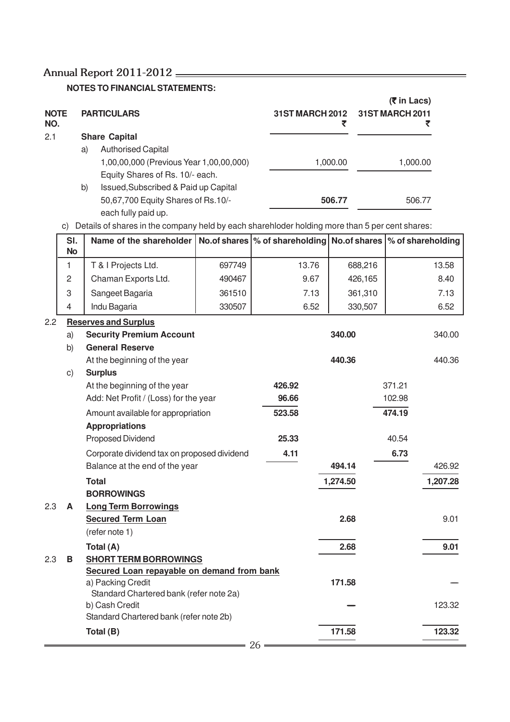**NOTES TO FINANCIAL STATEMENTS:**

| <b>NOTE</b><br>NO. |    | <b>PARTICULARS</b>                      | <b>31ST MARCH 2012</b> | $(5 \in \mathsf{In}$ Lacs)<br>31ST MARCH 2011 |
|--------------------|----|-----------------------------------------|------------------------|-----------------------------------------------|
| 2.1                |    | <b>Share Capital</b>                    |                        |                                               |
|                    | a) | <b>Authorised Capital</b>               |                        |                                               |
|                    |    | 1,00,00,000 (Previous Year 1,00,00,000) | 1,000.00               | 1,000.00                                      |
|                    |    | Equity Shares of Rs. 10/- each.         |                        |                                               |
|                    | b) | Issued, Subscribed & Paid up Capital    |                        |                                               |
|                    |    | 50,67,700 Equity Shares of Rs.10/-      | 506.77                 | 506.77                                        |
|                    |    | each fully paid up.                     |                        |                                               |

c) Details of shares in the company held by each sharehloder holding more than 5 per cent shares:

|     | SI.<br><b>No</b> | Name of the shareholder                                 |        |        |          | No.of shares  % of shareholding   No.of shares  % of shareholding |
|-----|------------------|---------------------------------------------------------|--------|--------|----------|-------------------------------------------------------------------|
|     | 1                | T & I Projects Ltd.                                     | 697749 | 13.76  | 688,216  | 13.58                                                             |
|     | $\overline{c}$   | Chaman Exports Ltd.                                     | 490467 | 9.67   | 426,165  | 8.40                                                              |
|     | 3                | Sangeet Bagaria                                         | 361510 | 7.13   | 361,310  | 7.13                                                              |
|     | $\overline{4}$   | Indu Bagaria                                            | 330507 | 6.52   | 330,507  | 6.52                                                              |
| 2.2 |                  | <b>Reserves and Surplus</b>                             |        |        |          |                                                                   |
|     | a)               | <b>Security Premium Account</b>                         |        |        | 340.00   | 340.00                                                            |
|     | b)               | <b>General Reserve</b>                                  |        |        |          |                                                                   |
|     |                  | At the beginning of the year                            |        |        | 440.36   | 440.36                                                            |
|     | $\mathsf{C}$ )   | <b>Surplus</b>                                          |        |        |          |                                                                   |
|     |                  | At the beginning of the year                            |        | 426.92 |          | 371.21                                                            |
|     |                  | Add: Net Profit / (Loss) for the year                   |        | 96.66  |          | 102.98                                                            |
|     |                  | Amount available for appropriation                      |        | 523.58 |          | 474.19                                                            |
|     |                  | <b>Appropriations</b>                                   |        |        |          |                                                                   |
|     |                  | Proposed Dividend                                       |        | 25.33  |          | 40.54                                                             |
|     |                  | Corporate dividend tax on proposed dividend             |        | 4.11   |          | 6.73                                                              |
|     |                  | Balance at the end of the year                          |        |        | 494.14   | 426.92                                                            |
|     |                  | <b>Total</b>                                            |        |        | 1,274.50 | 1,207.28                                                          |
| 2.3 |                  | <b>BORROWINGS</b>                                       |        |        |          |                                                                   |
|     | A                | <b>Long Term Borrowings</b><br><b>Secured Term Loan</b> |        |        | 2.68     | 9.01                                                              |
|     |                  | (refer note 1)                                          |        |        |          |                                                                   |
|     |                  | Total (A)                                               |        |        | 2.68     | 9.01                                                              |
| 2.3 | B                | <b>SHORT TERM BORROWINGS</b>                            |        |        |          |                                                                   |
|     |                  | Secured Loan repayable on demand from bank              |        |        |          |                                                                   |
|     |                  | a) Packing Credit                                       |        |        | 171.58   |                                                                   |
|     |                  | Standard Chartered bank (refer note 2a)                 |        |        |          |                                                                   |
|     |                  | b) Cash Credit                                          |        |        |          | 123.32                                                            |
|     |                  | Standard Chartered bank (refer note 2b)                 |        |        |          |                                                                   |
|     |                  | Total (B)                                               |        |        | 171.58   | 123.32                                                            |
|     |                  |                                                         |        | 26     |          |                                                                   |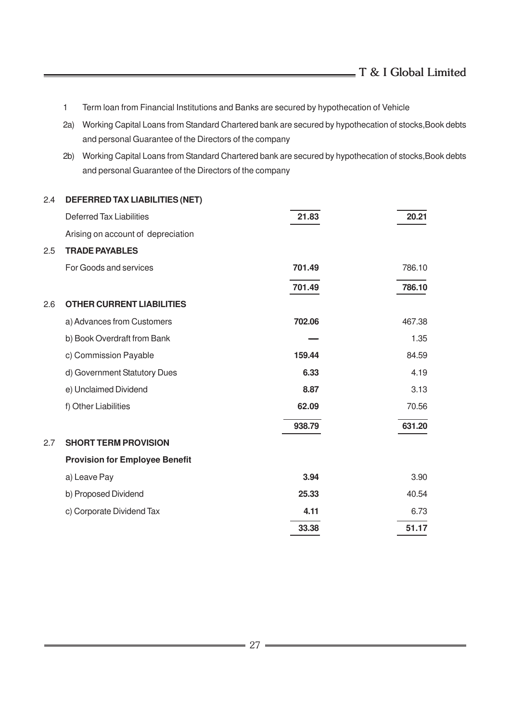- 1 Term loan from Financial Institutions and Banks are secured by hypothecation of Vehicle
- 2a) Working Capital Loans from Standard Chartered bank are secured by hypothecation of stocks,Book debts and personal Guarantee of the Directors of the company
- 2b) Working Capital Loans from Standard Chartered bank are secured by hypothecation of stocks,Book debts and personal Guarantee of the Directors of the company

| 2.4 | <b>DEFERRED TAX LIABILITIES (NET)</b> |        |        |
|-----|---------------------------------------|--------|--------|
|     | <b>Deferred Tax Liabilities</b>       | 21.83  | 20.21  |
|     | Arising on account of depreciation    |        |        |
| 2.5 | <b>TRADE PAYABLES</b>                 |        |        |
|     | For Goods and services                | 701.49 | 786.10 |
|     |                                       | 701.49 | 786.10 |
| 2.6 | <b>OTHER CURRENT LIABILITIES</b>      |        |        |
|     | a) Advances from Customers            | 702.06 | 467.38 |
|     | b) Book Overdraft from Bank           |        | 1.35   |
|     | c) Commission Payable                 | 159.44 | 84.59  |
|     | d) Government Statutory Dues          | 6.33   | 4.19   |
|     | e) Unclaimed Dividend                 | 8.87   | 3.13   |
|     | f) Other Liabilities                  | 62.09  | 70.56  |
|     |                                       | 938.79 | 631.20 |
| 2.7 | <b>SHORT TERM PROVISION</b>           |        |        |
|     | <b>Provision for Employee Benefit</b> |        |        |
|     | a) Leave Pay                          | 3.94   | 3.90   |
|     | b) Proposed Dividend                  | 25.33  | 40.54  |
|     | c) Corporate Dividend Tax             | 4.11   | 6.73   |
|     |                                       | 33.38  | 51.17  |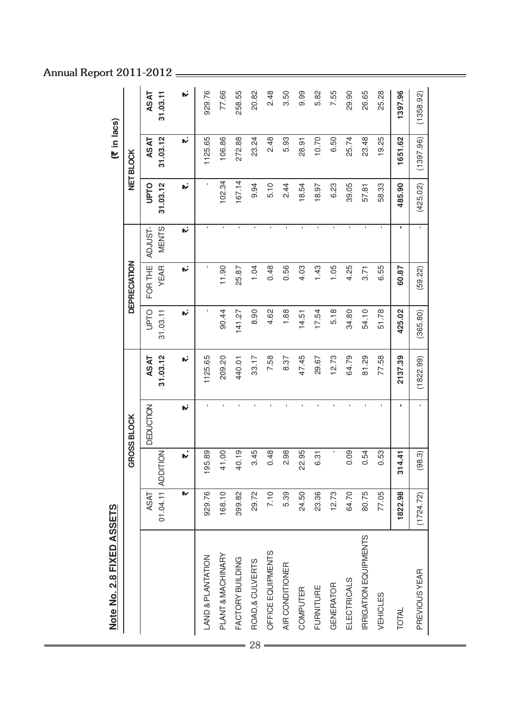|    | Note No. 2.8 FIXED ASSETS    |             |                   |              |             |              |                     |                |             | (₹ in lacs)     |             |
|----|------------------------------|-------------|-------------------|--------------|-------------|--------------|---------------------|----------------|-------------|-----------------|-------------|
|    |                              |             |                   | GROSS BLOCK  |             |              | <b>DEPRECIATION</b> |                |             | <b>NETBLOCK</b> |             |
|    |                              | <b>ASAT</b> |                   | DEDUCTION    | <b>ASAT</b> | <b>UPTO</b>  | FOR THE             | ADJUST-        | <b>UPTO</b> | <b>ASAT</b>     | <b>ASAT</b> |
|    |                              |             | 01.04.11 ADDITION |              | 31.03.12    | 31.03.11     | <b>YEAR</b>         | <b>MENTS</b>   | 31.03.12    | 31.03.12        | 31.03.11    |
|    |                              | ⋫           | .<br>ש            | h,           | ۱Ŵ          | N            | N                   | N              | <b>W.</b>   | N               | ۱v          |
|    | <b>LAND &amp; PLANTATION</b> | 929.76      | 195.89            |              | 1125.65     | $\mathbf{I}$ |                     | $\blacksquare$ |             | 1125.65         | 929.76      |
|    | PLANT & MACHINARY            | 168.10      | 41.00             |              | 209.20      | 90.44        | 11.90               | $\mathbf{I}$   | 102.34      | 106.86          | 77.66       |
|    | FACTORY BUILDING             | 399.82      | 40.19             |              | 440.01      | 141.27       | 25.87               | $\blacksquare$ | 167.14      | 272.88          | 258.55      |
| 28 | ROAD, & CULVERTS             | 29.72       | 3.45              |              | 33.17       | 8.90         | 1.04                | $\mathbf{I}$   | 9.94        | 23.24           | 20.82       |
|    | OFFICE EQUIPMENTS            | 7.10        | 0.48              |              | 7.58        | 4.62         | 0.48                | $\mathbf I$    | 5.10        | 2.48            | 2.48        |
|    | AIR CONDITIONER              | 5.39        | 2.98              |              | 8.37        | 1.88         | 0.56                | $\mathbf I$    | 2.44        | 5.93            | 3.50        |
|    | COMPUTER                     | 24.50       | 22.95             |              | 47.45       | 14.51        | 4.03                | $\blacksquare$ | 18.54       | 28.91           | 9.99        |
|    | FURNITURE                    | 23.36       | 6.31              |              | 29.67       | 17.54        | 1.43                | $\mathbf{I}$   | 18.97       | 10.70           | 5.82        |
|    | <b>GENERATOR</b>             | 12.73       | $\mathbf{I}$      |              | 12.73       | 5.18         | 1.05                | $\mathbf{I}$   | 6.23        | 6.50            | 7.55        |
|    | ELECTRICALS                  | 64.70       | 0.09              |              | 64.79       | 34.80        | 4.25                | $\mathbf{I}$   | 39.05       | 25.74           | 29.90       |
|    | <b>IRRIGATION EQUIPMENTS</b> | 80.75       | 0.54              |              | 81.29       | 54.10        | 3.71                | I.             | 57.81       | 23.48           | 26.65       |
|    | VEHICLES                     | 77.05       | 0.53              |              | 77.58       | 51.78        | 6.55                |                | 58.33       | 19.25           | 25.28       |
|    | <b>TOTAL</b>                 | 1822.98     | 4.41<br>51        |              | 2137.39     | 425.02       | 60.87               |                | 485.90      | 1651.62         | 1397.96     |
|    | PREVIOUS YEAR                | (1724.72)   | (98.3)            | $\mathbf{I}$ | (1822.99)   | (365.80)     | (59.22)             | $\mathbf I$    | (425.02)    | (1397.96)       | (1358.92)   |
|    |                              |             |                   |              |             |              |                     |                |             |                 |             |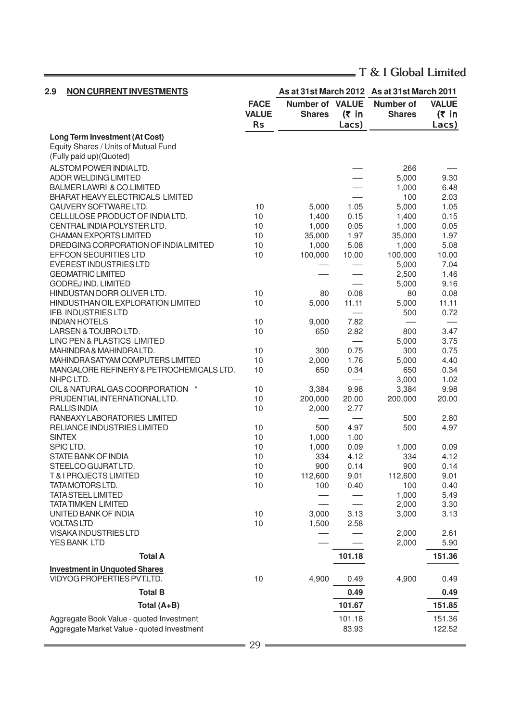$=$ 

| 2.9<br><b>NON CURRENT INVESTMENTS</b>                |              |                        |          | As at 31st March 2012 As at 31st March 2011 |              |
|------------------------------------------------------|--------------|------------------------|----------|---------------------------------------------|--------------|
|                                                      | <b>FACE</b>  | <b>Number of VALUE</b> |          | <b>Number of</b>                            | <b>VALUE</b> |
|                                                      | <b>VALUE</b> | <b>Shares</b>          | $(5)$ in | <b>Shares</b>                               | $(5 \infty)$ |
|                                                      | <b>Rs</b>    |                        | Lacs)    |                                             | Lacs)        |
| <b>Long Term Investment (At Cost)</b>                |              |                        |          |                                             |              |
| Equity Shares / Units of Mutual Fund                 |              |                        |          |                                             |              |
| (Fully paid up)(Quoted)                              |              |                        |          |                                             |              |
| ALSTOM POWER INDIALTD.                               |              |                        |          | 266                                         |              |
| <b>ADOR WELDING LIMITED</b>                          |              |                        |          | 5,000                                       | 9.30         |
| <b>BALMER LAWRI &amp; CO.LIMITED</b>                 |              |                        |          | 1,000                                       | 6.48         |
| <b>BHARAT HEAVY ELECTRICALS LIMITED</b>              |              |                        |          | 100                                         | 2.03         |
| CAUVERY SOFTWARE LTD.                                | 10           | 5,000                  | 1.05     | 5,000                                       | 1.05         |
| CELLULOSE PRODUCT OF INDIALTD.                       | 10           | 1,400                  | 0.15     | 1,400                                       | 0.15         |
| CENTRAL INDIA POLYSTER LTD.                          | 10           | 1,000                  | 0.05     | 1,000                                       | 0.05         |
| CHAMAN EXPORTS LIMITED                               | 10           | 35,000                 | 1.97     | 35,000                                      | 1.97         |
| DREDGING CORPORATION OF INDIA LIMITED                | 10           | 1,000                  | 5.08     | 1,000                                       | 5.08         |
| EFFCON SECURITIES LTD                                | 10           | 100,000                | 10.00    | 100,000                                     | 10.00        |
| <b>EVEREST INDUSTRIES LTD</b>                        |              |                        |          | 5,000                                       | 7.04         |
| <b>GEOMATRIC LIMITED</b>                             |              |                        |          | 2,500                                       | 1.46         |
| <b>GODREJ IND. LIMITED</b>                           |              |                        |          | 5,000                                       | 9.16         |
| HINDUSTAN DORR OLIVER LTD.                           | 10           | 80                     | 0.08     | 80                                          | 0.08         |
| HINDUSTHAN OIL EXPLORATION LIMITED                   | 10           | 5,000                  | 11.11    | 5,000                                       | 11.11        |
| IFB INDUSTRIES LTD                                   |              |                        |          | 500                                         | 0.72         |
| <b>INDIAN HOTELS</b>                                 | 10           | 9,000                  | 7.82     |                                             |              |
| LARSEN & TOUBRO LTD.                                 | 10           | 650                    | 2.82     | 800                                         | 3.47         |
| LINC PEN & PLASTICS LIMITED<br>MAHINDRA&MAHINDRALTD. |              |                        | 0.75     | 5,000<br>300                                | 3.75<br>0.75 |
| <b>MAHINDRA SATYAM COMPUTERS LIMITED</b>             | 10<br>10     | 300<br>2,000           | 1.76     | 5,000                                       | 4.40         |
| MANGALORE REFINERY & PETROCHEMICALS LTD.             | 10           | 650                    | 0.34     | 650                                         | 0.34         |
| NHPC LTD.                                            |              |                        |          | 3,000                                       | 1.02         |
| OIL & NATURAL GAS COORPORATION *                     | 10           | 3,384                  | 9.98     | 3,384                                       | 9.98         |
| PRUDENTIAL INTERNATIONAL LTD.                        | 10           | 200,000                | 20.00    | 200,000                                     | 20.00        |
| <b>RALLIS INDIA</b>                                  | 10           | 2,000                  | 2.77     |                                             |              |
| RANBAXY LABORATORIES LIMITED                         |              |                        |          | 500                                         | 2.80         |
| RELIANCE INDUSTRIES LIMITED                          | 10           | 500                    | 4.97     | 500                                         | 4.97         |
| <b>SINTEX</b>                                        | 10           | 1,000                  | 1.00     |                                             |              |
| SPIC LTD.                                            | 10           | 1,000                  | 0.09     | 1,000                                       | 0.09         |
| <b>STATE BANK OF INDIA</b>                           | 10           | 334                    | 4.12     | 334                                         | 4.12         |
| STEELCO GUJRAT LTD.                                  | 10           | 900                    | 0.14     | 900                                         | 0.14         |
| T & I PROJECTS LIMITED                               | 10           | 112,600                | 9.01     | 112,600                                     | 9.01         |
| TATAMOTORS LTD.                                      | 10           | 100                    | 0.40     | 100                                         | 0.40         |
| <b>TATA STEEL LIMITED</b>                            |              |                        |          | 1,000                                       | 5.49         |
| <b>TATA TIMKEN LIMITED</b>                           |              |                        |          | 2,000                                       | 3.30         |
| UNITED BANK OF INDIA                                 | 10           | 3,000                  | 3.13     | 3,000                                       | 3.13         |
| <b>VOLTAS LTD</b>                                    | 10           | 1,500                  | 2.58     |                                             |              |
| VISAKA INDUSTRIES LTD                                |              |                        |          | 2,000                                       | 2.61         |
| YES BANK LTD                                         |              |                        |          | 2,000                                       | 5.90         |
| <b>Total A</b>                                       |              |                        | 101.18   |                                             | 151.36       |
| <b>Investment in Unquoted Shares</b>                 |              |                        |          |                                             |              |
| VIDYOG PROPERTIES PVT.LTD.                           | 10           | 4,900                  | 0.49     | 4,900                                       | 0.49         |
|                                                      |              |                        |          |                                             |              |
| <b>Total B</b>                                       |              |                        | 0.49     |                                             | 0.49         |
| Total (A+B)                                          |              |                        | 101.67   |                                             | 151.85       |
| Aggregate Book Value - quoted Investment             |              |                        | 101.18   |                                             | 151.36       |
| Aggregate Market Value - quoted Investment           |              |                        | 83.93    |                                             | 122.52       |

 $\equiv$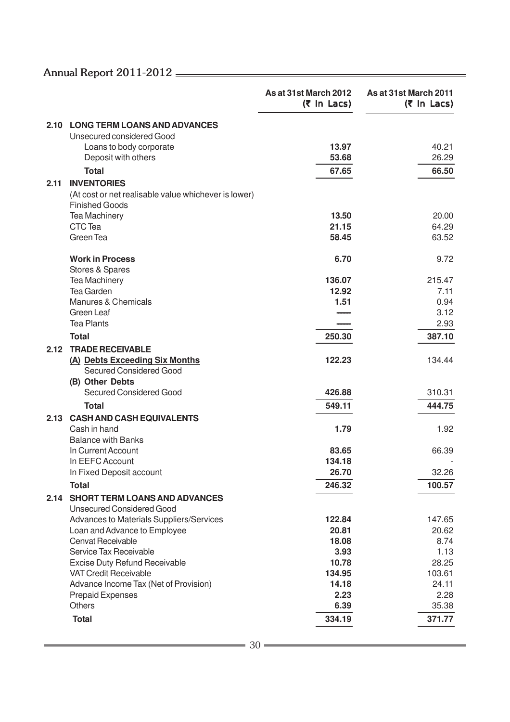|      |                                                                               | As at 31st March 2012<br>$(5 \text{ In } \text{Lacs})$ | As at 31st March 2011<br>$(5 \text{ In } \text{Lacs})$ |
|------|-------------------------------------------------------------------------------|--------------------------------------------------------|--------------------------------------------------------|
|      | 2.10 LONG TERM LOANS AND ADVANCES                                             |                                                        |                                                        |
|      | Unsecured considered Good                                                     |                                                        |                                                        |
|      | Loans to body corporate                                                       | 13.97                                                  | 40.21                                                  |
|      | Deposit with others                                                           | 53.68                                                  | 26.29                                                  |
|      | <b>Total</b>                                                                  | 67.65                                                  | 66.50                                                  |
| 2.11 | <b>INVENTORIES</b>                                                            |                                                        |                                                        |
|      | (At cost or net realisable value whichever is lower)<br><b>Finished Goods</b> |                                                        |                                                        |
|      | <b>Tea Machinery</b>                                                          | 13.50                                                  | 20.00                                                  |
|      | CTC Tea                                                                       | 21.15                                                  | 64.29                                                  |
|      | Green Tea                                                                     | 58.45                                                  | 63.52                                                  |
|      | <b>Work in Process</b>                                                        | 6.70                                                   | 9.72                                                   |
|      | Stores & Spares<br><b>Tea Machinery</b>                                       | 136.07                                                 | 215.47                                                 |
|      | <b>Tea Garden</b>                                                             | 12.92                                                  | 7.11                                                   |
|      | Manures & Chemicals                                                           | 1.51                                                   | 0.94                                                   |
|      | Green Leaf                                                                    |                                                        | 3.12                                                   |
|      | <b>Tea Plants</b>                                                             |                                                        | 2.93                                                   |
|      | <b>Total</b>                                                                  | 250.30                                                 | 387.10                                                 |
| 2.12 | <b>TRADE RECEIVABLE</b>                                                       |                                                        |                                                        |
|      | (A) Debts Exceeding Six Months                                                | 122.23                                                 | 134.44                                                 |
|      | Secured Considered Good                                                       |                                                        |                                                        |
|      | (B) Other Debts                                                               |                                                        |                                                        |
|      | <b>Secured Considered Good</b>                                                | 426.88                                                 | 310.31                                                 |
|      | <b>Total</b>                                                                  | 549.11                                                 | 444.75                                                 |
|      | 2.13 CASH AND CASH EQUIVALENTS                                                |                                                        |                                                        |
|      | Cash in hand                                                                  | 1.79                                                   | 1.92                                                   |
|      | <b>Balance with Banks</b>                                                     |                                                        |                                                        |
|      | In Current Account                                                            | 83.65                                                  | 66.39                                                  |
|      | In EEFC Account                                                               | 134.18                                                 |                                                        |
|      | In Fixed Deposit account                                                      | 26.70                                                  | 32.26                                                  |
|      | <b>Total</b>                                                                  | 246.32                                                 | 100.57                                                 |
| 2.14 | <b>SHORT TERM LOANS AND ADVANCES</b><br><b>Unsecured Considered Good</b>      |                                                        |                                                        |
|      | Advances to Materials Suppliers/Services                                      | 122.84                                                 | 147.65                                                 |
|      | Loan and Advance to Employee                                                  | 20.81                                                  | 20.62                                                  |
|      | Cenvat Receivable                                                             | 18.08                                                  | 8.74                                                   |
|      | Service Tax Receivable                                                        | 3.93                                                   | 1.13                                                   |
|      | <b>Excise Duty Refund Receivable</b>                                          | 10.78                                                  | 28.25                                                  |
|      | <b>VAT Credit Receivable</b>                                                  | 134.95                                                 | 103.61                                                 |
|      | Advance Income Tax (Net of Provision)                                         | 14.18                                                  | 24.11                                                  |
|      | <b>Prepaid Expenses</b>                                                       | 2.23                                                   | 2.28                                                   |
|      | <b>Others</b>                                                                 | 6.39                                                   | 35.38                                                  |
|      | <b>Total</b>                                                                  | 334.19                                                 | 371.77                                                 |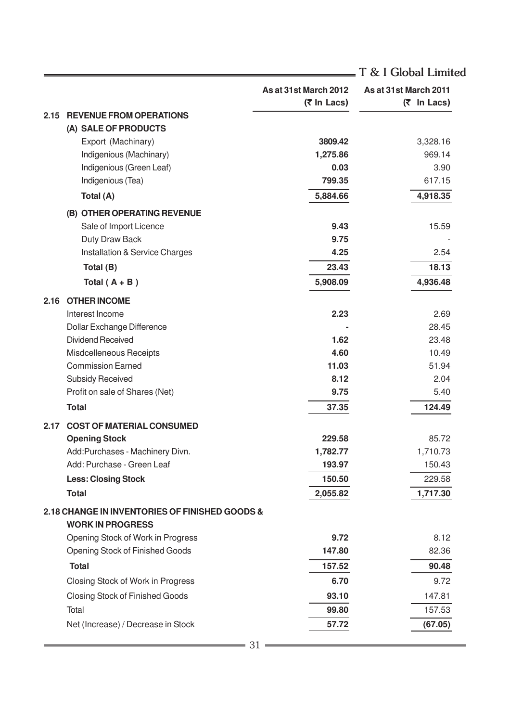|      |                                                                           |                                      | T & I Global Limited                 |
|------|---------------------------------------------------------------------------|--------------------------------------|--------------------------------------|
|      |                                                                           | As at 31st March 2012<br>(₹ In Lacs) | As at 31st March 2011<br>(₹ In Lacs) |
| 2.15 | <b>REVENUE FROM OPERATIONS</b>                                            |                                      |                                      |
|      | (A) SALE OF PRODUCTS                                                      |                                      |                                      |
|      | Export (Machinary)                                                        | 3809.42                              | 3,328.16                             |
|      | Indigenious (Machinary)                                                   | 1,275.86                             | 969.14                               |
|      | Indigenious (Green Leaf)                                                  | 0.03                                 | 3.90                                 |
|      | Indigenious (Tea)                                                         | 799.35                               | 617.15                               |
|      | Total (A)                                                                 | 5,884.66                             | 4,918.35                             |
|      | (B) OTHER OPERATING REVENUE                                               |                                      |                                      |
|      | Sale of Import Licence                                                    | 9.43                                 | 15.59                                |
|      | Duty Draw Back                                                            | 9.75                                 |                                      |
|      | Installation & Service Charges                                            | 4.25                                 | 2.54                                 |
|      | Total (B)                                                                 | 23.43                                | 18.13                                |
|      | Total $(A + B)$                                                           | 5,908.09                             | 4,936.48                             |
| 2.16 | <b>OTHER INCOME</b>                                                       |                                      |                                      |
|      | Interest Income                                                           | 2.23                                 | 2.69                                 |
|      | Dollar Exchange Difference                                                |                                      | 28.45                                |
|      | <b>Dividend Received</b>                                                  | 1.62                                 | 23.48                                |
|      | Misdcelleneous Receipts                                                   | 4.60                                 | 10.49                                |
|      | <b>Commission Earned</b>                                                  | 11.03                                | 51.94                                |
|      | <b>Subsidy Received</b>                                                   | 8.12                                 | 2.04                                 |
|      | Profit on sale of Shares (Net)                                            | 9.75                                 | 5.40                                 |
|      | <b>Total</b>                                                              | 37.35                                | 124.49                               |
| 2.17 | <b>COST OF MATERIAL CONSUMED</b>                                          |                                      |                                      |
|      | <b>Opening Stock</b>                                                      | 229.58                               | 85.72                                |
|      | Add:Purchases - Machinery Divn.                                           | 1,782.77                             | 1,710.73                             |
|      | Add: Purchase - Green Leaf                                                | 193.97                               | 150.43                               |
|      | <b>Less: Closing Stock</b>                                                | 150.50                               | 229.58                               |
|      | <b>Total</b>                                                              | 2,055.82                             | 1,717.30                             |
|      | 2.18 CHANGE IN INVENTORIES OF FINISHED GOODS &<br><b>WORK IN PROGRESS</b> |                                      |                                      |
|      | Opening Stock of Work in Progress                                         | 9.72                                 | 8.12                                 |
|      | Opening Stock of Finished Goods                                           | 147.80                               | 82.36                                |
|      | <b>Total</b>                                                              | 157.52                               | 90.48                                |
|      | Closing Stock of Work in Progress                                         | 6.70                                 | 9.72                                 |
|      | <b>Closing Stock of Finished Goods</b>                                    | 93.10                                | 147.81                               |
|      | Total                                                                     | 99.80                                | 157.53                               |
|      |                                                                           |                                      |                                      |
|      | Net (Increase) / Decrease in Stock                                        | 57.72                                | (67.05)                              |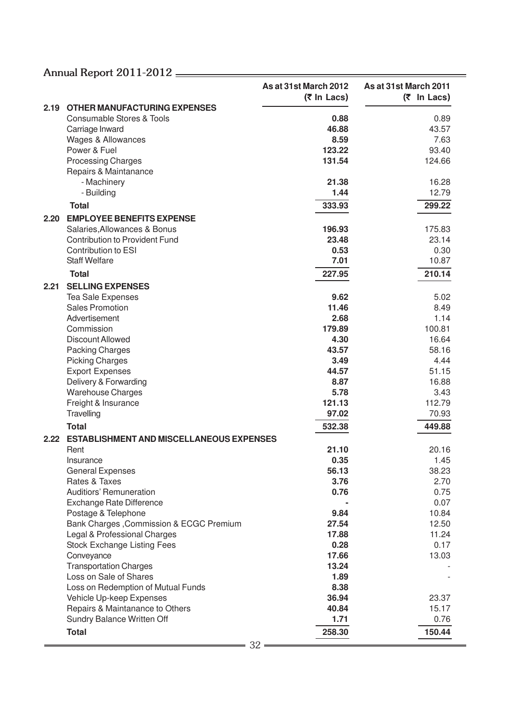|      |                                                             | As at 31st March 2012 | As at 31st March 2011 |
|------|-------------------------------------------------------------|-----------------------|-----------------------|
|      |                                                             | (₹ In Lacs)           | $(5 \text{ In}$ Lacs) |
| 2.19 | <b>OTHER MANUFACTURING EXPENSES</b>                         |                       |                       |
|      | <b>Consumable Stores &amp; Tools</b>                        | 0.88<br>46.88         | 0.89<br>43.57         |
|      | Carriage Inward<br>Wages & Allowances                       | 8.59                  | 7.63                  |
|      | Power & Fuel                                                | 123.22                | 93.40                 |
|      | <b>Processing Charges</b>                                   | 131.54                | 124.66                |
|      | Repairs & Maintanance                                       |                       |                       |
|      | - Machinery                                                 | 21.38                 | 16.28                 |
|      | - Building                                                  | 1.44                  | 12.79                 |
|      | <b>Total</b>                                                | 333.93                | 299.22                |
| 2.20 | <b>EMPLOYEE BENEFITS EXPENSE</b>                            |                       |                       |
|      | Salaries, Allowances & Bonus                                | 196.93                | 175.83                |
|      | <b>Contribution to Provident Fund</b>                       | 23.48                 | 23.14                 |
|      | Contribution to ESI                                         | 0.53                  | 0.30                  |
|      | <b>Staff Welfare</b>                                        | 7.01                  | 10.87                 |
|      | <b>Total</b>                                                | 227.95                | 210.14                |
| 2.21 | <b>SELLING EXPENSES</b>                                     |                       |                       |
|      | Tea Sale Expenses                                           | 9.62                  | 5.02                  |
|      | <b>Sales Promotion</b>                                      | 11.46                 | 8.49                  |
|      | Advertisement                                               | 2.68                  | 1.14                  |
|      | Commission                                                  | 179.89                | 100.81                |
|      | Discount Allowed                                            | 4.30                  | 16.64                 |
|      | Packing Charges                                             | 43.57                 | 58.16                 |
|      | <b>Picking Charges</b>                                      | 3.49                  | 4.44                  |
|      | <b>Export Expenses</b>                                      | 44.57                 | 51.15                 |
|      | Delivery & Forwarding                                       | 8.87                  | 16.88                 |
|      | <b>Warehouse Charges</b>                                    | 5.78                  | 3.43                  |
|      | Freight & Insurance                                         | 121.13                | 112.79                |
|      | Travelling                                                  | 97.02                 | 70.93                 |
|      | <b>Total</b>                                                | 532.38                | 449.88                |
| 2.22 | <b>ESTABLISHMENT AND MISCELLANEOUS EXPENSES</b>             |                       |                       |
|      | Rent                                                        | 21.10                 | 20.16                 |
|      | Insurance                                                   | 0.35                  | 1.45                  |
|      | <b>General Expenses</b>                                     | 56.13                 | 38.23                 |
|      | Rates & Taxes                                               | 3.76                  | 2.70                  |
|      | Auditiors' Remuneration                                     | 0.76                  | 0.75                  |
|      | <b>Exchange Rate Difference</b>                             |                       | 0.07                  |
|      | Postage & Telephone                                         | 9.84                  | 10.84                 |
|      | Bank Charges, Commission & ECGC Premium                     | 27.54                 | 12.50                 |
|      | Legal & Professional Charges                                | 17.88                 | 11.24                 |
|      | <b>Stock Exchange Listing Fees</b>                          | 0.28                  | 0.17                  |
|      | Conveyance                                                  | 17.66                 | 13.03                 |
|      | <b>Transportation Charges</b>                               | 13.24                 |                       |
|      | Loss on Sale of Shares                                      | 1.89                  |                       |
|      | Loss on Redemption of Mutual Funds                          | 8.38<br>36.94         | 23.37                 |
|      | Vehicle Up-keep Expenses<br>Repairs & Maintanance to Others | 40.84                 | 15.17                 |
|      | Sundry Balance Written Off                                  | 1.71                  | 0.76                  |
|      |                                                             |                       |                       |
|      | <b>Total</b>                                                | 258.30                | 150.44                |
|      | 32                                                          |                       |                       |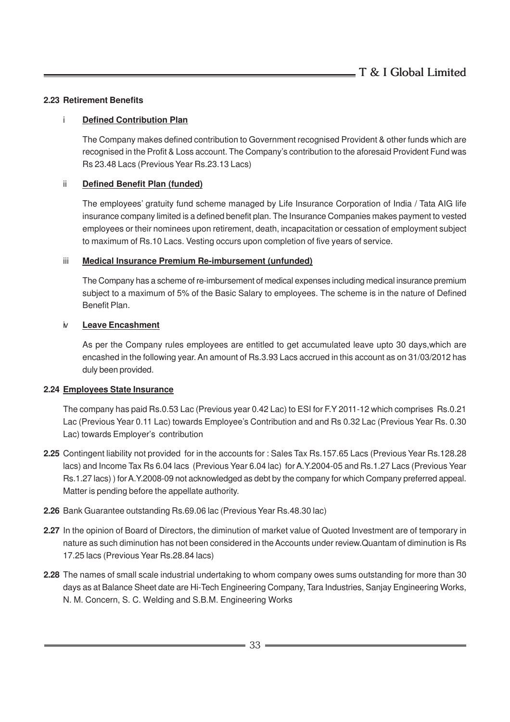#### **2.23 Retirement Benefits**

#### i **Defined Contribution Plan**

The Company makes defined contribution to Government recognised Provident & other funds which are recognised in the Profit & Loss account. The Company's contribution to the aforesaid Provident Fund was Rs 23.48 Lacs (Previous Year Rs.23.13 Lacs)

#### ii **Defined Benefit Plan (funded)**

The employees' gratuity fund scheme managed by Life Insurance Corporation of India / Tata AIG life insurance company limited is a defined benefit plan. The Insurance Companies makes payment to vested employees or their nominees upon retirement, death, incapacitation or cessation of employment subject to maximum of Rs.10 Lacs. Vesting occurs upon completion of five years of service.

#### iii **Medical Insurance Premium Re-imbursement (unfunded)**

The Company has a scheme of re-imbursement of medical expenses including medical insurance premium subject to a maximum of 5% of the Basic Salary to employees. The scheme is in the nature of Defined Benefit Plan.

#### iv **Leave Encashment**

As per the Company rules employees are entitled to get accumulated leave upto 30 days,which are encashed in the following year. An amount of Rs.3.93 Lacs accrued in this account as on 31/03/2012 has duly been provided.

#### **2.24 Employees State Insurance**

The company has paid Rs.0.53 Lac (Previous year 0.42 Lac) to ESI for F.Y 2011-12 which comprises Rs.0.21 Lac (Previous Year 0.11 Lac) towards Employee's Contribution and and Rs 0.32 Lac (Previous Year Rs. 0.30 Lac) towards Employer's contribution

- **2.25** Contingent liability not provided for in the accounts for : Sales Tax Rs.157.65 Lacs (Previous Year Rs.128.28 lacs) and Income Tax Rs 6.04 lacs (Previous Year 6.04 lac) for A.Y.2004-05 and Rs.1.27 Lacs (Previous Year Rs.1.27 lacs) ) for A.Y.2008-09 not acknowledged as debt by the company for which Company preferred appeal. Matter is pending before the appellate authority.
- **2.26** Bank Guarantee outstanding Rs.69.06 lac (Previous Year Rs.48.30 lac)
- **2.27** In the opinion of Board of Directors, the diminution of market value of Quoted Investment are of temporary in nature as such diminution has not been considered in the Accounts under review.Quantam of diminution is Rs 17.25 lacs (Previous Year Rs.28.84 lacs)
- **2.28** The names of small scale industrial undertaking to whom company owes sums outstanding for more than 30 days as at Balance Sheet date are Hi-Tech Engineering Company, Tara Industries, Sanjay Engineering Works, N. M. Concern, S. C. Welding and S.B.M. Engineering Works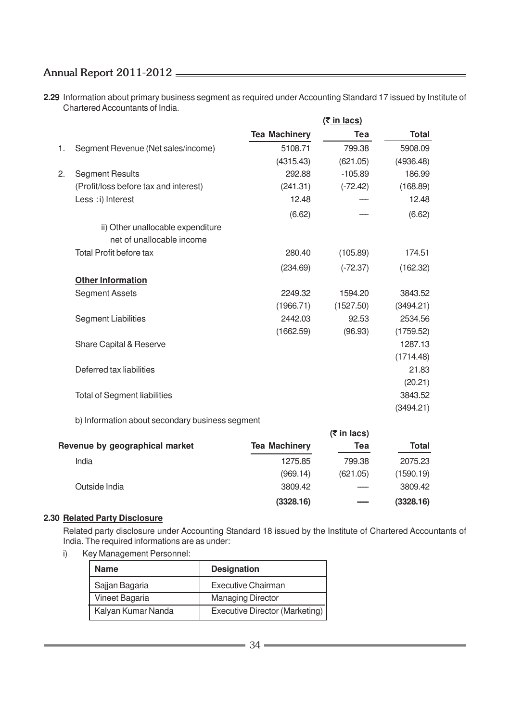**2.29** Information about primary business segment as required under Accounting Standard 17 issued by Institute of Chartered Accountants of India.

|    |                                       |                      | $(5$ in lacs) |           |
|----|---------------------------------------|----------------------|---------------|-----------|
|    |                                       | <b>Tea Machinery</b> | Tea           | Total     |
| 1. | Segment Revenue (Net sales/income)    | 5108.71              | 799.38        | 5908.09   |
|    |                                       | (4315.43)            | (621.05)      | (4936.48) |
| 2. | <b>Segment Results</b>                | 292.88               | $-105.89$     | 186.99    |
|    | (Profit/loss before tax and interest) | (241.31)             | $(-72.42)$    | (168.89)  |
|    | Less : i) Interest                    | 12.48                |               | 12.48     |
|    |                                       | (6.62)               |               | (6.62)    |
|    | ii) Other unallocable expenditure     |                      |               |           |
|    | net of unallocable income             |                      |               |           |
|    | <b>Total Profit before tax</b>        | 280.40               | (105.89)      | 174.51    |
|    |                                       | (234.69)             | $(-72.37)$    | (162.32)  |
|    | <b>Other Information</b>              |                      |               |           |
|    | <b>Segment Assets</b>                 | 2249.32              | 1594.20       | 3843.52   |
|    |                                       | (1966.71)            | (1527.50)     | (3494.21) |
|    | <b>Segment Liabilities</b>            | 2442.03              | 92.53         | 2534.56   |
|    |                                       | (1662.59)            | (96.93)       | (1759.52) |
|    | Share Capital & Reserve               |                      |               | 1287.13   |
|    |                                       |                      |               | (1714.48) |
|    | Deferred tax liabilities              |                      |               | 21.83     |
|    |                                       |                      |               | (20.21)   |
|    | <b>Total of Segment liabilities</b>   |                      |               | 3843.52   |
|    |                                       |                      |               | (3494.21) |

b) Information about secondary business segment

|                                |                      | $(5 \in \mathsf{In} \mathsf{lacs})$ |           |
|--------------------------------|----------------------|-------------------------------------|-----------|
| Revenue by geographical market | <b>Tea Machinery</b> | Tea                                 | Total     |
| India                          | 1275.85              | 799.38                              | 2075.23   |
|                                | (969.14)             | (621.05)                            | (1590.19) |
| Outside India                  | 3809.42              |                                     | 3809.42   |
|                                | (3328.16)            |                                     | (3328.16) |

#### **2.30 Related Party Disclosure**

Related party disclosure under Accounting Standard 18 issued by the Institute of Chartered Accountants of India. The required informations are as under:

i) Key Management Personnel:

| <b>Name</b>        | <b>Designation</b>             |  |
|--------------------|--------------------------------|--|
| Sajjan Bagaria     | Executive Chairman             |  |
| Vineet Bagaria     | <b>Managing Director</b>       |  |
| Kalyan Kumar Nanda | Executive Director (Marketing) |  |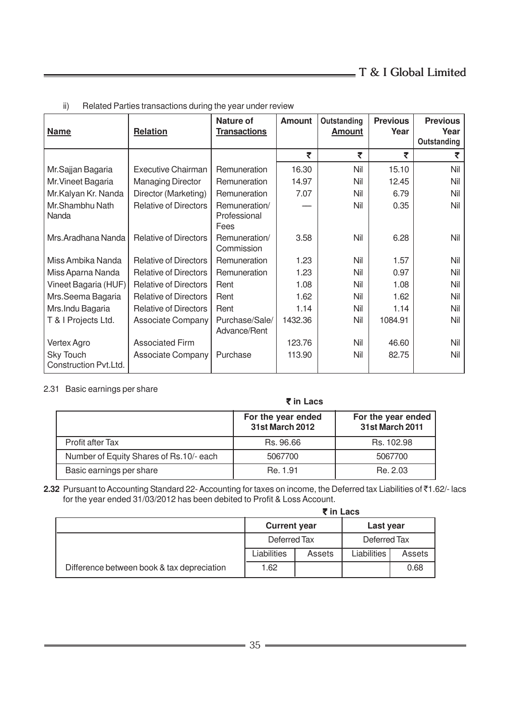| <b>Name</b>                               | <b>Relation</b>              | <b>Nature of</b><br><b>Transactions</b> | <b>Amount</b> | Outstanding<br><b>Amount</b> | <b>Previous</b><br>Year | <b>Previous</b><br>Year<br>Outstanding |
|-------------------------------------------|------------------------------|-----------------------------------------|---------------|------------------------------|-------------------------|----------------------------------------|
|                                           |                              |                                         | ₹             | ₹                            | ₹                       | ₹                                      |
| Mr.Sajjan Bagaria                         | <b>Executive Chairman</b>    | Remuneration                            | 16.30         | Nil                          | 15.10                   | Nil                                    |
| Mr. Vineet Bagaria                        | <b>Managing Director</b>     | Remuneration                            | 14.97         | Nil                          | 12.45                   | Nil                                    |
| Mr.Kalyan Kr. Nanda                       | Director (Marketing)         | Remuneration                            | 7.07          | Nil                          | 6.79                    | Nil                                    |
| Mr.Shambhu Nath<br>Nanda                  | <b>Relative of Directors</b> | Remuneration/<br>Professional<br>Fees   |               | Nil                          | 0.35                    | Nil                                    |
| Mrs.Aradhana Nanda                        | <b>Relative of Directors</b> | Remuneration/<br>Commission             | 3.58          | Nil                          | 6.28                    | Nil                                    |
| Miss Ambika Nanda                         | <b>Relative of Directors</b> | Remuneration                            | 1.23          | Nil                          | 1.57                    | Nil                                    |
| Miss Aparna Nanda                         | <b>Relative of Directors</b> | Remuneration                            | 1.23          | Nil                          | 0.97                    | Nil                                    |
| Vineet Bagaria (HUF)                      | <b>Relative of Directors</b> | Rent                                    | 1.08          | Nil                          | 1.08                    | Nil                                    |
| Mrs.Seema Bagaria                         | <b>Relative of Directors</b> | Rent                                    | 1.62          | Nil                          | 1.62                    | Nil                                    |
| Mrs. Indu Bagaria                         | <b>Relative of Directors</b> | Rent                                    | 1.14          | Nil                          | 1.14                    | Nil                                    |
| T & I Projects Ltd.                       | <b>Associate Company</b>     | Purchase/Sale/<br>Advance/Rent          | 1432.36       | Nil                          | 1084.91                 | Nil                                    |
| Vertex Agro                               | <b>Associated Firm</b>       |                                         | 123.76        | Nil                          | 46.60                   | Nil                                    |
| <b>Sky Touch</b><br>Construction Pvt.Ltd. | Associate Company            | Purchase                                | 113.90        | Nil                          | 82.75                   | Nil                                    |

ii) Related Parties transactions during the year under review

### 2.31 Basic earnings per share

|                                         | ₹ in Lacs                                    |                                              |
|-----------------------------------------|----------------------------------------------|----------------------------------------------|
|                                         | For the year ended<br><b>31st March 2012</b> | For the year ended<br><b>31st March 2011</b> |
| Profit after Tax                        | Rs. 96.66                                    | Rs. 102.98                                   |
| Number of Equity Shares of Rs.10/- each | 5067700                                      | 5067700                                      |
| Basic earnings per share                | Re. 1.91                                     | Re. 2.03                                     |

**2.32** Pursuant to Accounting Standard 22- Accounting for taxes on income, the Deferred tax Liabilities of ₹1.62/- lacs for the year ended 31/03/2012 has been debited to Profit & Loss Account.

|                                            | ₹ in Lacs           |        |              |        |
|--------------------------------------------|---------------------|--------|--------------|--------|
|                                            | <b>Current year</b> |        | Last year    |        |
|                                            | Deferred Tax        |        | Deferred Tax |        |
|                                            | Liabilities         | Assets | Liabilities  | Assets |
| Difference between book & tax depreciation | 1.62                |        |              | 0.68   |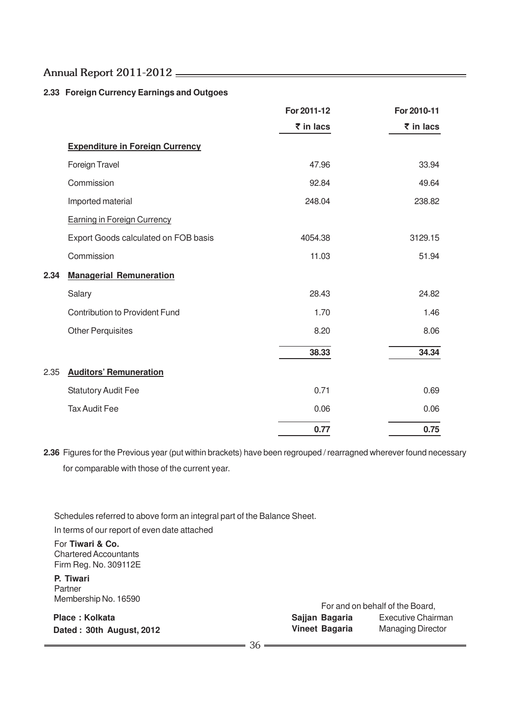### **2.33 Foreign Currency Earnings and Outgoes**

|      |                                        | For 2011-12                | For 2010-11                |
|------|----------------------------------------|----------------------------|----------------------------|
|      |                                        | $\bar{\mathbf{z}}$ in lacs | $\bar{\mathbf{z}}$ in lacs |
|      | <b>Expenditure in Foreign Currency</b> |                            |                            |
|      | Foreign Travel                         | 47.96                      | 33.94                      |
|      | Commission                             | 92.84                      | 49.64                      |
|      | Imported material                      | 248.04                     | 238.82                     |
|      | <b>Earning in Foreign Currency</b>     |                            |                            |
|      | Export Goods calculated on FOB basis   | 4054.38                    | 3129.15                    |
|      | Commission                             | 11.03                      | 51.94                      |
| 2.34 | <b>Managerial Remuneration</b>         |                            |                            |
|      | Salary                                 | 28.43                      | 24.82                      |
|      | <b>Contribution to Provident Fund</b>  | 1.70                       | 1.46                       |
|      | <b>Other Perquisites</b>               | 8.20                       | 8.06                       |
|      |                                        | 38.33                      | 34.34                      |
| 2.35 | <b>Auditors' Remuneration</b>          |                            |                            |
|      | <b>Statutory Audit Fee</b>             | 0.71                       | 0.69                       |
|      | <b>Tax Audit Fee</b>                   | 0.06                       | 0.06                       |
|      |                                        | 0.77                       | 0.75                       |

**2.36** Figures for the Previous year (put within brackets) have been regrouped / rearragned wherever found necessary for comparable with those of the current year.

Schedules referred to above form an integral part of the Balance Sheet. In terms of our report of even date attached

For **Tiwari & Co.** Chartered Accountants Firm Reg. No. 309112E

**P. Tiwari** Partner Membership No. 16590

**Place : Kolkata Dated : 30th August, 2012**

For and on behalf of the Board, **Sajjan Bagaria** Executive Chairman **Vineet Bagaria** Managing Director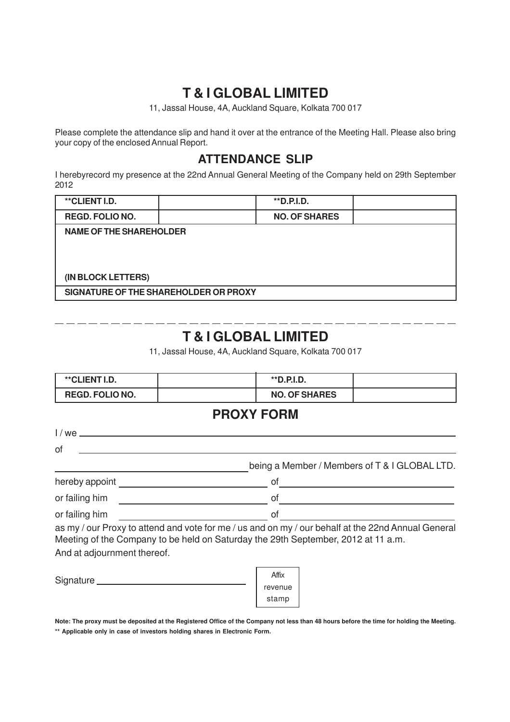# **T & I GLOBAL LIMITED**

11, Jassal House, 4A, Auckland Square, Kolkata 700 017

Please complete the attendance slip and hand it over at the entrance of the Meeting Hall. Please also bring your copy of the enclosed Annual Report.

# **ATTENDANCE SLIP**

I herebyrecord my presence at the 22nd Annual General Meeting of the Company held on 29th September 2012

| **CLIENT I.D.                         |  | **D.P.I.D.           |  |
|---------------------------------------|--|----------------------|--|
| <b>REGD. FOLIO NO.</b>                |  | <b>NO. OF SHARES</b> |  |
| <b>NAME OF THE SHAREHOLDER</b>        |  |                      |  |
|                                       |  |                      |  |
|                                       |  |                      |  |
| (IN BLOCK LETTERS)                    |  |                      |  |
| SIGNATURE OF THE SHAREHOLDER OR PROXY |  |                      |  |

# **T & I GLOBAL LIMITED**

11, Jassal House, 4A, Auckland Square, Kolkata 700 017

| **CLIENT I.D.               | **D.P.I.D.                                                                                                                                                                                                                                                                                                                                    |  |
|-----------------------------|-----------------------------------------------------------------------------------------------------------------------------------------------------------------------------------------------------------------------------------------------------------------------------------------------------------------------------------------------|--|
| <b>REGD. FOLIO NO.</b>      | <b>NO. OF SHARES</b>                                                                                                                                                                                                                                                                                                                          |  |
|                             | <b>PROXY FORM</b>                                                                                                                                                                                                                                                                                                                             |  |
|                             |                                                                                                                                                                                                                                                                                                                                               |  |
| 0f                          |                                                                                                                                                                                                                                                                                                                                               |  |
|                             | being a Member / Members of T & I GLOBAL LTD.                                                                                                                                                                                                                                                                                                 |  |
|                             | of $\qquad \qquad$ $\qquad$ $\qquad$ $\qquad$ $\qquad$ $\qquad$ $\qquad$ $\qquad$ $\qquad$ $\qquad$ $\qquad$ $\qquad$ $\qquad$ $\qquad$ $\qquad$ $\qquad$ $\qquad$ $\qquad$ $\qquad$ $\qquad$ $\qquad$ $\qquad$ $\qquad$ $\qquad$ $\qquad$ $\qquad$ $\qquad$ $\qquad$ $\qquad$ $\qquad$ $\qquad$ $\qquad$ $\qquad$ $\qquad$ $\qquad$ $\qquad$ |  |
| or failing him              | of                                                                                                                                                                                                                                                                                                                                            |  |
| or failing him              | of                                                                                                                                                                                                                                                                                                                                            |  |
|                             | as my / our Proxy to attend and vote for me / us and on my / our behalf at the 22nd Annual General<br>Meeting of the Company to be held on Saturday the 29th September, 2012 at 11 a.m.                                                                                                                                                       |  |
| And at adjournment thereof. |                                                                                                                                                                                                                                                                                                                                               |  |
|                             | Affix<br>revenue                                                                                                                                                                                                                                                                                                                              |  |

**Note: The proxy must be deposited at the Registered Office of the Company not less than 48 hours before the time for holding the Meeting. \*\* Applicable only in case of investors holding shares in Electronic Form.**

stamp